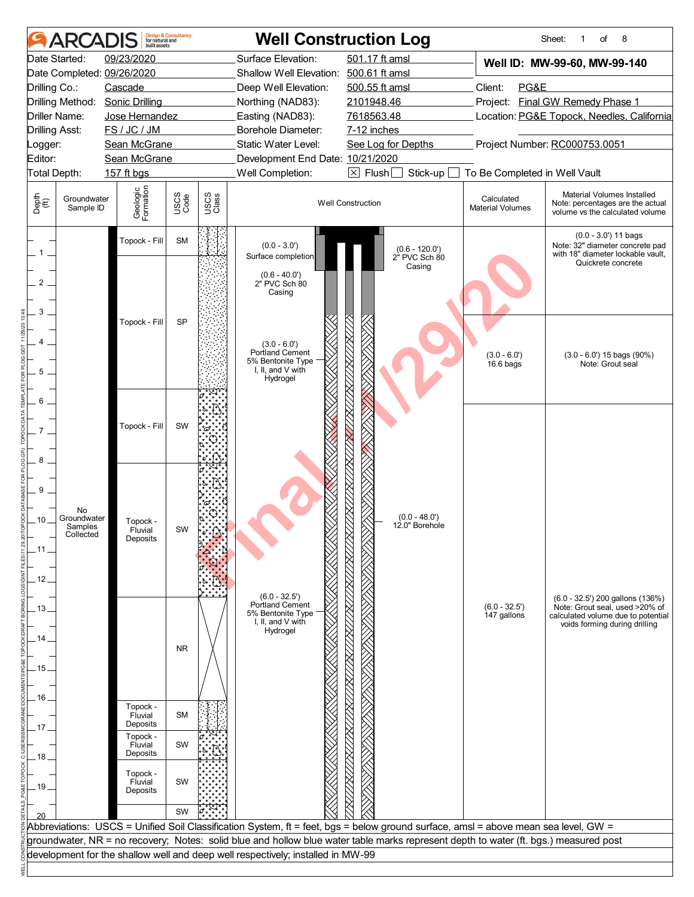| Surface Elevation:<br>501.17 ft amsl<br>Date Started:<br>09/23/2020<br>Well ID: MW-99-60, MW-99-140<br>Shallow Well Elevation: 500.61 ft amsl<br>Date Completed: 09/26/2020<br>PG&E<br>500.55 ft amsl<br>Client:<br>Drilling Co.:<br>Cascade<br>Deep Well Elevation:<br>Project: Final GW Remedy Phase 1<br>Drilling Method: Sonic Drilling<br>Northing (NAD83):<br>2101948.46<br>Driller Name:<br>Location: PG&E Topock, Needles, California<br>Jose Hernandez<br>Easting (NAD83):<br>7618563.48<br>FS / JC / JM<br>Borehole Diameter:<br><b>Drilling Asst:</b><br>7-12 inches<br>Project Number: RC000753.0051<br>Sean McGrane<br>Static Water Level:<br>See Log for Depths<br>Logger:<br>Editor:<br>Sean McGrane<br>Development End Date: 10/21/2020<br>Well Completion:<br>$\boxtimes$ Flush [<br>Total Depth:<br>157 ft bgs<br>Stick-up<br>To Be Completed in Well Vault<br>Geologic<br>Formation<br>Material Volumes Installed<br>USCS<br>Code<br>USCS<br>Class<br>Depth<br>$\widetilde{f(t)}$<br>Calculated<br>Groundwater<br><b>Well Construction</b><br>Note: percentages are the actual<br><b>Material Volumes</b><br>Sample ID<br>volume vs the calculated volume<br>$(0.0 - 3.0')$ 11 bags<br>Topock - Fill<br><b>SM</b><br>Note: 32" diameter concrete pad<br>$(0.0 - 3.0')$<br>(0.6 - 120.0')<br>2" PVC Sch 80<br>with 18" diameter lockable vault,<br>Surface completion<br>Quickrete concrete<br>Casing<br>$(0.6 - 40.0')$<br>2" PVC Sch 80<br>2<br>Casing<br>3<br><b>SP</b><br>Topock - Fill<br>Δ<br>$(3.0 - 6.0')$<br>Portland Cement<br>$(3.0 - 6.0')$<br>$(3.0 - 6.0')$ 15 bags $(90\%)$<br>5% Bentonite Type<br>Note: Grout seal<br>$16.6$ bags<br>I, II, and V with<br>5<br>Hydrogel<br>6<br>Topock - Fill<br>SW<br>8<br>9<br>No<br>$(0.0 - 48.0')$<br>Groundwater<br>10<br>Topock -<br>12.0" Borehole<br>Samples<br>Fluvial<br>əvv<br>Collected<br>Deposits<br>. 11 .<br>12<br>$(6.0 - 32.5')$<br>(6.0 - 32.5') 200 gallons (136%)<br><b>Portland Cement</b><br>$(6.0 - 32.5')$<br>Note: Grout seal, used >20% of<br>13<br>5% Bentonite Type<br>147 gallons<br>calculated volume due to potential<br>I, II, and V with<br>voids forming during drilling<br>Hydrogel<br>14<br><b>NR</b><br>. 15<br>16<br>Topock -<br><b>SM</b><br>Fluvial<br>Deposits<br>17.<br>Topock -<br>SW<br>Fluvial<br>Deposits<br>.18<br>Topock -<br>SW<br>Fluvial<br>.19.<br>Deposits<br>SW<br>Abbreviations: USCS = Unified Soil Classification System, ft = feet, bgs = below ground surface, amsl = above mean sea level, GW =<br>groundwater, NR = no recovery; Notes: solid blue and hollow blue water table marks represent depth to water (ft. bgs.) measured post<br>development for the shallow well and deep well respectively; installed in MW-99 |  | built assets | <b>Design &amp; Consultancy</b><br>for natural and |  | <b>Well Construction Log</b> | 8<br>Sheet:<br>of<br>1 |
|------------------------------------------------------------------------------------------------------------------------------------------------------------------------------------------------------------------------------------------------------------------------------------------------------------------------------------------------------------------------------------------------------------------------------------------------------------------------------------------------------------------------------------------------------------------------------------------------------------------------------------------------------------------------------------------------------------------------------------------------------------------------------------------------------------------------------------------------------------------------------------------------------------------------------------------------------------------------------------------------------------------------------------------------------------------------------------------------------------------------------------------------------------------------------------------------------------------------------------------------------------------------------------------------------------------------------------------------------------------------------------------------------------------------------------------------------------------------------------------------------------------------------------------------------------------------------------------------------------------------------------------------------------------------------------------------------------------------------------------------------------------------------------------------------------------------------------------------------------------------------------------------------------------------------------------------------------------------------------------------------------------------------------------------------------------------------------------------------------------------------------------------------------------------------------------------------------------------------------------------------------------------------------------------------------------------------------------------------------------------------------------------------------------------------------------------------------------------------------------------------------------------------------------------------------------------------------------------------------------------------------------------------------------------------------------------------------------------------------------------------------|--|--------------|----------------------------------------------------|--|------------------------------|------------------------|
|                                                                                                                                                                                                                                                                                                                                                                                                                                                                                                                                                                                                                                                                                                                                                                                                                                                                                                                                                                                                                                                                                                                                                                                                                                                                                                                                                                                                                                                                                                                                                                                                                                                                                                                                                                                                                                                                                                                                                                                                                                                                                                                                                                                                                                                                                                                                                                                                                                                                                                                                                                                                                                                                                                                                                            |  |              |                                                    |  |                              |                        |
|                                                                                                                                                                                                                                                                                                                                                                                                                                                                                                                                                                                                                                                                                                                                                                                                                                                                                                                                                                                                                                                                                                                                                                                                                                                                                                                                                                                                                                                                                                                                                                                                                                                                                                                                                                                                                                                                                                                                                                                                                                                                                                                                                                                                                                                                                                                                                                                                                                                                                                                                                                                                                                                                                                                                                            |  |              |                                                    |  |                              |                        |
|                                                                                                                                                                                                                                                                                                                                                                                                                                                                                                                                                                                                                                                                                                                                                                                                                                                                                                                                                                                                                                                                                                                                                                                                                                                                                                                                                                                                                                                                                                                                                                                                                                                                                                                                                                                                                                                                                                                                                                                                                                                                                                                                                                                                                                                                                                                                                                                                                                                                                                                                                                                                                                                                                                                                                            |  |              |                                                    |  |                              |                        |
|                                                                                                                                                                                                                                                                                                                                                                                                                                                                                                                                                                                                                                                                                                                                                                                                                                                                                                                                                                                                                                                                                                                                                                                                                                                                                                                                                                                                                                                                                                                                                                                                                                                                                                                                                                                                                                                                                                                                                                                                                                                                                                                                                                                                                                                                                                                                                                                                                                                                                                                                                                                                                                                                                                                                                            |  |              |                                                    |  |                              |                        |
|                                                                                                                                                                                                                                                                                                                                                                                                                                                                                                                                                                                                                                                                                                                                                                                                                                                                                                                                                                                                                                                                                                                                                                                                                                                                                                                                                                                                                                                                                                                                                                                                                                                                                                                                                                                                                                                                                                                                                                                                                                                                                                                                                                                                                                                                                                                                                                                                                                                                                                                                                                                                                                                                                                                                                            |  |              |                                                    |  |                              |                        |
|                                                                                                                                                                                                                                                                                                                                                                                                                                                                                                                                                                                                                                                                                                                                                                                                                                                                                                                                                                                                                                                                                                                                                                                                                                                                                                                                                                                                                                                                                                                                                                                                                                                                                                                                                                                                                                                                                                                                                                                                                                                                                                                                                                                                                                                                                                                                                                                                                                                                                                                                                                                                                                                                                                                                                            |  |              |                                                    |  |                              |                        |
|                                                                                                                                                                                                                                                                                                                                                                                                                                                                                                                                                                                                                                                                                                                                                                                                                                                                                                                                                                                                                                                                                                                                                                                                                                                                                                                                                                                                                                                                                                                                                                                                                                                                                                                                                                                                                                                                                                                                                                                                                                                                                                                                                                                                                                                                                                                                                                                                                                                                                                                                                                                                                                                                                                                                                            |  |              |                                                    |  |                              |                        |
|                                                                                                                                                                                                                                                                                                                                                                                                                                                                                                                                                                                                                                                                                                                                                                                                                                                                                                                                                                                                                                                                                                                                                                                                                                                                                                                                                                                                                                                                                                                                                                                                                                                                                                                                                                                                                                                                                                                                                                                                                                                                                                                                                                                                                                                                                                                                                                                                                                                                                                                                                                                                                                                                                                                                                            |  |              |                                                    |  |                              |                        |
|                                                                                                                                                                                                                                                                                                                                                                                                                                                                                                                                                                                                                                                                                                                                                                                                                                                                                                                                                                                                                                                                                                                                                                                                                                                                                                                                                                                                                                                                                                                                                                                                                                                                                                                                                                                                                                                                                                                                                                                                                                                                                                                                                                                                                                                                                                                                                                                                                                                                                                                                                                                                                                                                                                                                                            |  |              |                                                    |  |                              |                        |
|                                                                                                                                                                                                                                                                                                                                                                                                                                                                                                                                                                                                                                                                                                                                                                                                                                                                                                                                                                                                                                                                                                                                                                                                                                                                                                                                                                                                                                                                                                                                                                                                                                                                                                                                                                                                                                                                                                                                                                                                                                                                                                                                                                                                                                                                                                                                                                                                                                                                                                                                                                                                                                                                                                                                                            |  |              |                                                    |  |                              |                        |
|                                                                                                                                                                                                                                                                                                                                                                                                                                                                                                                                                                                                                                                                                                                                                                                                                                                                                                                                                                                                                                                                                                                                                                                                                                                                                                                                                                                                                                                                                                                                                                                                                                                                                                                                                                                                                                                                                                                                                                                                                                                                                                                                                                                                                                                                                                                                                                                                                                                                                                                                                                                                                                                                                                                                                            |  |              |                                                    |  |                              |                        |
|                                                                                                                                                                                                                                                                                                                                                                                                                                                                                                                                                                                                                                                                                                                                                                                                                                                                                                                                                                                                                                                                                                                                                                                                                                                                                                                                                                                                                                                                                                                                                                                                                                                                                                                                                                                                                                                                                                                                                                                                                                                                                                                                                                                                                                                                                                                                                                                                                                                                                                                                                                                                                                                                                                                                                            |  |              |                                                    |  |                              |                        |
|                                                                                                                                                                                                                                                                                                                                                                                                                                                                                                                                                                                                                                                                                                                                                                                                                                                                                                                                                                                                                                                                                                                                                                                                                                                                                                                                                                                                                                                                                                                                                                                                                                                                                                                                                                                                                                                                                                                                                                                                                                                                                                                                                                                                                                                                                                                                                                                                                                                                                                                                                                                                                                                                                                                                                            |  |              |                                                    |  |                              |                        |
|                                                                                                                                                                                                                                                                                                                                                                                                                                                                                                                                                                                                                                                                                                                                                                                                                                                                                                                                                                                                                                                                                                                                                                                                                                                                                                                                                                                                                                                                                                                                                                                                                                                                                                                                                                                                                                                                                                                                                                                                                                                                                                                                                                                                                                                                                                                                                                                                                                                                                                                                                                                                                                                                                                                                                            |  |              |                                                    |  |                              |                        |
|                                                                                                                                                                                                                                                                                                                                                                                                                                                                                                                                                                                                                                                                                                                                                                                                                                                                                                                                                                                                                                                                                                                                                                                                                                                                                                                                                                                                                                                                                                                                                                                                                                                                                                                                                                                                                                                                                                                                                                                                                                                                                                                                                                                                                                                                                                                                                                                                                                                                                                                                                                                                                                                                                                                                                            |  |              |                                                    |  |                              |                        |
|                                                                                                                                                                                                                                                                                                                                                                                                                                                                                                                                                                                                                                                                                                                                                                                                                                                                                                                                                                                                                                                                                                                                                                                                                                                                                                                                                                                                                                                                                                                                                                                                                                                                                                                                                                                                                                                                                                                                                                                                                                                                                                                                                                                                                                                                                                                                                                                                                                                                                                                                                                                                                                                                                                                                                            |  |              |                                                    |  |                              |                        |
|                                                                                                                                                                                                                                                                                                                                                                                                                                                                                                                                                                                                                                                                                                                                                                                                                                                                                                                                                                                                                                                                                                                                                                                                                                                                                                                                                                                                                                                                                                                                                                                                                                                                                                                                                                                                                                                                                                                                                                                                                                                                                                                                                                                                                                                                                                                                                                                                                                                                                                                                                                                                                                                                                                                                                            |  |              |                                                    |  |                              |                        |
|                                                                                                                                                                                                                                                                                                                                                                                                                                                                                                                                                                                                                                                                                                                                                                                                                                                                                                                                                                                                                                                                                                                                                                                                                                                                                                                                                                                                                                                                                                                                                                                                                                                                                                                                                                                                                                                                                                                                                                                                                                                                                                                                                                                                                                                                                                                                                                                                                                                                                                                                                                                                                                                                                                                                                            |  |              |                                                    |  |                              |                        |
|                                                                                                                                                                                                                                                                                                                                                                                                                                                                                                                                                                                                                                                                                                                                                                                                                                                                                                                                                                                                                                                                                                                                                                                                                                                                                                                                                                                                                                                                                                                                                                                                                                                                                                                                                                                                                                                                                                                                                                                                                                                                                                                                                                                                                                                                                                                                                                                                                                                                                                                                                                                                                                                                                                                                                            |  |              |                                                    |  |                              |                        |
|                                                                                                                                                                                                                                                                                                                                                                                                                                                                                                                                                                                                                                                                                                                                                                                                                                                                                                                                                                                                                                                                                                                                                                                                                                                                                                                                                                                                                                                                                                                                                                                                                                                                                                                                                                                                                                                                                                                                                                                                                                                                                                                                                                                                                                                                                                                                                                                                                                                                                                                                                                                                                                                                                                                                                            |  |              |                                                    |  |                              |                        |
|                                                                                                                                                                                                                                                                                                                                                                                                                                                                                                                                                                                                                                                                                                                                                                                                                                                                                                                                                                                                                                                                                                                                                                                                                                                                                                                                                                                                                                                                                                                                                                                                                                                                                                                                                                                                                                                                                                                                                                                                                                                                                                                                                                                                                                                                                                                                                                                                                                                                                                                                                                                                                                                                                                                                                            |  |              |                                                    |  |                              |                        |
|                                                                                                                                                                                                                                                                                                                                                                                                                                                                                                                                                                                                                                                                                                                                                                                                                                                                                                                                                                                                                                                                                                                                                                                                                                                                                                                                                                                                                                                                                                                                                                                                                                                                                                                                                                                                                                                                                                                                                                                                                                                                                                                                                                                                                                                                                                                                                                                                                                                                                                                                                                                                                                                                                                                                                            |  |              |                                                    |  |                              |                        |
|                                                                                                                                                                                                                                                                                                                                                                                                                                                                                                                                                                                                                                                                                                                                                                                                                                                                                                                                                                                                                                                                                                                                                                                                                                                                                                                                                                                                                                                                                                                                                                                                                                                                                                                                                                                                                                                                                                                                                                                                                                                                                                                                                                                                                                                                                                                                                                                                                                                                                                                                                                                                                                                                                                                                                            |  |              |                                                    |  |                              |                        |
|                                                                                                                                                                                                                                                                                                                                                                                                                                                                                                                                                                                                                                                                                                                                                                                                                                                                                                                                                                                                                                                                                                                                                                                                                                                                                                                                                                                                                                                                                                                                                                                                                                                                                                                                                                                                                                                                                                                                                                                                                                                                                                                                                                                                                                                                                                                                                                                                                                                                                                                                                                                                                                                                                                                                                            |  |              |                                                    |  |                              |                        |
|                                                                                                                                                                                                                                                                                                                                                                                                                                                                                                                                                                                                                                                                                                                                                                                                                                                                                                                                                                                                                                                                                                                                                                                                                                                                                                                                                                                                                                                                                                                                                                                                                                                                                                                                                                                                                                                                                                                                                                                                                                                                                                                                                                                                                                                                                                                                                                                                                                                                                                                                                                                                                                                                                                                                                            |  |              |                                                    |  |                              |                        |
|                                                                                                                                                                                                                                                                                                                                                                                                                                                                                                                                                                                                                                                                                                                                                                                                                                                                                                                                                                                                                                                                                                                                                                                                                                                                                                                                                                                                                                                                                                                                                                                                                                                                                                                                                                                                                                                                                                                                                                                                                                                                                                                                                                                                                                                                                                                                                                                                                                                                                                                                                                                                                                                                                                                                                            |  |              |                                                    |  |                              |                        |
|                                                                                                                                                                                                                                                                                                                                                                                                                                                                                                                                                                                                                                                                                                                                                                                                                                                                                                                                                                                                                                                                                                                                                                                                                                                                                                                                                                                                                                                                                                                                                                                                                                                                                                                                                                                                                                                                                                                                                                                                                                                                                                                                                                                                                                                                                                                                                                                                                                                                                                                                                                                                                                                                                                                                                            |  |              |                                                    |  |                              |                        |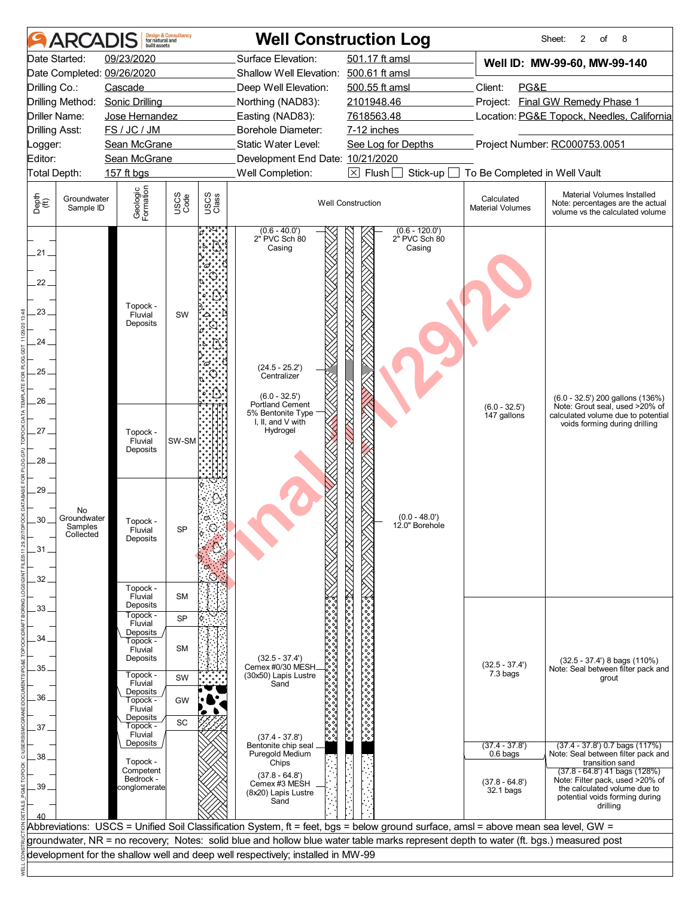|                                                                                    | <b>ARCAI</b>                              | huilt assets                                                                                                                                                                                       | <b>Design &amp; Consultancy</b><br>for natural and    |               |                                                                                                                                                                                  | <b>Well Construction Log</b>                                                                                                         |                                                                | 8<br>Sheet:<br>2<br>of                                                                                                                                            |
|------------------------------------------------------------------------------------|-------------------------------------------|----------------------------------------------------------------------------------------------------------------------------------------------------------------------------------------------------|-------------------------------------------------------|---------------|----------------------------------------------------------------------------------------------------------------------------------------------------------------------------------|--------------------------------------------------------------------------------------------------------------------------------------|----------------------------------------------------------------|-------------------------------------------------------------------------------------------------------------------------------------------------------------------|
| Drilling Co.:                                                                      | Date Started:<br>Drilling Method:         | 09/23/2020<br>Date Completed: 09/26/2020<br>Cascade<br><b>Sonic Drilling</b>                                                                                                                       |                                                       |               | Surface Elevation:<br>Shallow Well Elevation: 500.61 ft amsl<br>Deep Well Elevation:<br>Northing (NAD83):                                                                        | 501.17 ft amsl<br>500.55 ft amsl<br>2101948.46                                                                                       | Client:<br>PG&E                                                | Well ID: MW-99-60, MW-99-140<br>Project: Final GW Remedy Phase 1                                                                                                  |
| <b>Drilling Asst:</b><br>_ogger:                                                   | Driller Name:                             | Jose Hernandez<br>FS / JC / JM<br>Sean McGrane                                                                                                                                                     |                                                       |               | Easting (NAD83):<br>Borehole Diameter:<br>Static Water Level:                                                                                                                    | 7618563.48<br>7-12 inches<br>See Log for Depths                                                                                      |                                                                | Location: PG&E Topock, Needles, California<br>Project Number: RC000753.0051                                                                                       |
| Editor:                                                                            | Total Depth:                              | Sean McGrane<br>157 ft bgs                                                                                                                                                                         |                                                       |               | Development End Date: 10/21/2020<br>Well Completion:                                                                                                                             | $\boxtimes$ Flush<br>Stick-up                                                                                                        | To Be Completed in Well Vault                                  |                                                                                                                                                                   |
| Depth<br>(ff)                                                                      | Groundwater<br>Sample ID                  | Geologic<br>Formation                                                                                                                                                                              | USCS<br>Code                                          | USCS<br>Class |                                                                                                                                                                                  | <b>Well Construction</b>                                                                                                             | Calculated<br><b>Material Volumes</b>                          | Material Volumes Installed<br>Note: percentages are the actual<br>volume vs the calculated volume                                                                 |
| $.21 -$<br>22<br>23<br>24.<br>25<br>$26 -$<br>27.<br>28<br>29.<br>30<br>.31<br>32. | No<br>Groundwater<br>Samples<br>Collected | Topock -<br>Fluvial<br>Deposits<br>Topock -<br>Fluvial<br>Deposits<br>Topock -<br>Fluvial<br>Deposits<br>Topock -                                                                                  | SW<br>SW-SM<br>SP                                     |               | $(0.6 - 40.0')$<br>2" PVC Sch 80<br>Casing<br>$(24.5 - 25.2')$<br>Centralizer<br>$(6.0 - 32.5')$<br><b>Portland Cement</b><br>5% Bentonite Type<br>I, II, and V with<br>Hydrogel | $(0.6 - 120.0)$<br>2" PVC Sch 80<br>Casing<br>$(0.0 - 48.0')$<br>12.0" Borehole                                                      | $(6.0 - 32.5')$<br>147 gallons                                 | (6.0 - 32.5') 200 gallons (136%)<br>Note: Grout seal, used >20% of<br>calculated volume due to potential<br>voids forming during drilling                         |
| 33<br>34<br>35.<br>36.<br>37.<br>38                                                |                                           | Fluvial<br>Deposits<br>Topock -<br>Fluvial<br>Deposits<br>Topock -<br>Fluvial<br>Deposits<br>Topock -<br>Fluvial<br>Deposits<br>Topock -<br>Fluvial<br>Deposits<br>Topock -<br>Fluvial<br>Deposits | <b>SM</b><br><b>SP</b><br><b>SM</b><br>SW<br>GW<br>SC |               | $(32.5 - 37.4')$<br>Cemex #0/30 MESH<br>(30x50) Lapis Lustre<br>Sand<br>$(37.4 - 37.8')$<br>Bentonite chip seal<br>Puregold Medium                                               | ्रैं<br>१०००<br>०,०००,०००,०<br>ैं<br>ို့∘                                                                                            | $(32.5 - 37.4')$<br>7.3 bags<br>$(37.4 - 37.8')$<br>$0.6$ bags | $(32.5 - 37.4)$ 8 bags $(110%)$<br>Note: Seal between filter pack and<br>grout<br>$(37.4 - 37.8)$ 0.7 bags $(117%)$<br>Note: Seal between filter pack and         |
| 39                                                                                 |                                           | Topock -<br>Competent<br>Bedrock -<br>conglomerate                                                                                                                                                 |                                                       |               | Chips<br>$(37.8 - 64.8')$<br>Cemex #3 MESH<br>(8x20) Lapis Lustre<br>Sand                                                                                                        |                                                                                                                                      | $(37.8 - 64.8')$<br>32.1 bags                                  | transition sand<br>(37.8 - 64.8') 41 bags (128%)<br>Note: Filter pack, used >20% of<br>the calculated volume due to<br>potential voids forming during<br>drilling |
|                                                                                    |                                           |                                                                                                                                                                                                    |                                                       |               |                                                                                                                                                                                  | Abbreviations: USCS = Unified Soil Classification System, ft = feet, bgs = below ground surface, amsl = above mean sea level, GW =   |                                                                |                                                                                                                                                                   |
|                                                                                    |                                           |                                                                                                                                                                                                    |                                                       |               | development for the shallow well and deep well respectively; installed in MW-99                                                                                                  | groundwater, NR = no recovery; Notes: solid blue and hollow blue water table marks represent depth to water (ft. bgs.) measured post |                                                                |                                                                                                                                                                   |
|                                                                                    |                                           |                                                                                                                                                                                                    |                                                       |               |                                                                                                                                                                                  |                                                                                                                                      |                                                                |                                                                                                                                                                   |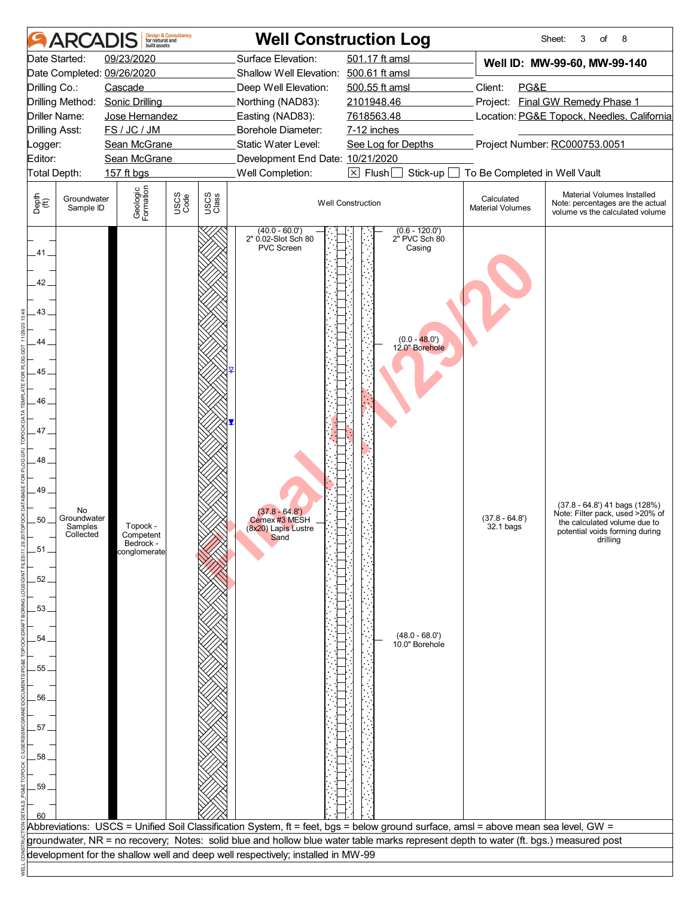| 501.17 ft amsl<br>09/23/2020<br>Surface Elevation:<br>Well ID: MW-99-60, MW-99-140<br>Date Completed: 09/26/2020<br>Shallow Well Elevation: 500.61 ft amsl<br>Client:<br>PG&E<br>Drilling Co.:<br>Cascade<br>Deep Well Elevation:<br>500.55 ft amsl<br>Project: Final GW Remedy Phase 1<br>Drilling Method:<br><b>Sonic Drilling</b><br>2101948.46<br>Northing (NAD83):<br>7618563.48<br>Location: PG&E Topock, Needles, California<br>Driller Name:<br>Jose Hernandez<br>Easting (NAD83):<br>FS / JC / JM<br><b>Drilling Asst:</b><br>Borehole Diameter:<br>7-12 inches<br>Static Water Level:<br>Project Number: RC000753.0051<br>Sean McGrane<br>See Log for Depths<br>Logger:<br>Editor:<br>Development End Date: 10/21/2020<br>Sean McGrane<br>Total Depth:<br>Well Completion:<br>$\boxtimes$ Flush<br>To Be Completed in Well Vault<br>157 ft bgs<br>Stick-up<br>Geologic<br>Formation<br>Material Volumes Installed<br>USCS<br>Code<br>USCS<br>Class<br>Depth<br>$\bigoplus_{i=1}^{n}$<br>Calculated<br>Groundwater<br><b>Well Construction</b><br>Note: percentages are the actual<br><b>Material Volumes</b><br>Sample ID<br>volume vs the calculated volume<br>(40.0 - 60.0')<br>2" 0.02-Slot Sch 80<br>$(0.6 - 120.0)$<br>2 <sup>h</sup> PVC Sch 80<br>PVC Screen<br>Casing<br>41_<br>42.<br>43<br>$(0.0 - 48.0')$<br>44<br>12.0" Borehole<br>45<br>46.<br>47<br>48<br>49<br>$(37.8 - 64.8')$ 41 bags $(128%)$<br>No<br>$(37.8 - 64.8')$<br>Note: Filter pack, used >20% of<br>$(37.8 - 64.8')$<br>Groundwater<br>$50-$<br>Cemex #3 MESH<br>the calculated volume due to<br>Topock -<br>32.1 bags<br>Samples<br>(8x20) Lapis Lustre<br>Sand<br>potential voids forming during<br>Collected<br>Competent<br>drilling<br>Bedrock -<br>.51.<br>conglomerate<br>.52.<br>53.<br>$(48.0 - 68.0')$<br>54<br>10.0" Borehole<br>55.<br>56<br>57.<br>58<br>.59<br>Abbreviations: USCS = Unified Soil Classification System, ft = feet, bgs = below ground surface, amsl = above mean sea level, GW =<br>groundwater, NR = no recovery; Notes: solid blue and hollow blue water table marks represent depth to water (ft. bgs.) measured post<br>development for the shallow well and deep well respectively; installed in MW-99 | <b>ARCAI</b>  | built assets | <b>Design &amp; Consultancy</b><br>for natural and | <b>Well Construction Log</b> |  | 8<br>Sheet:<br>3<br>of |
|-----------------------------------------------------------------------------------------------------------------------------------------------------------------------------------------------------------------------------------------------------------------------------------------------------------------------------------------------------------------------------------------------------------------------------------------------------------------------------------------------------------------------------------------------------------------------------------------------------------------------------------------------------------------------------------------------------------------------------------------------------------------------------------------------------------------------------------------------------------------------------------------------------------------------------------------------------------------------------------------------------------------------------------------------------------------------------------------------------------------------------------------------------------------------------------------------------------------------------------------------------------------------------------------------------------------------------------------------------------------------------------------------------------------------------------------------------------------------------------------------------------------------------------------------------------------------------------------------------------------------------------------------------------------------------------------------------------------------------------------------------------------------------------------------------------------------------------------------------------------------------------------------------------------------------------------------------------------------------------------------------------------------------------------------------------------------------------------------------------------------------------------------------------------------------------------------------------------------------------|---------------|--------------|----------------------------------------------------|------------------------------|--|------------------------|
|                                                                                                                                                                                                                                                                                                                                                                                                                                                                                                                                                                                                                                                                                                                                                                                                                                                                                                                                                                                                                                                                                                                                                                                                                                                                                                                                                                                                                                                                                                                                                                                                                                                                                                                                                                                                                                                                                                                                                                                                                                                                                                                                                                                                                                   | Date Started: |              |                                                    |                              |  |                        |
|                                                                                                                                                                                                                                                                                                                                                                                                                                                                                                                                                                                                                                                                                                                                                                                                                                                                                                                                                                                                                                                                                                                                                                                                                                                                                                                                                                                                                                                                                                                                                                                                                                                                                                                                                                                                                                                                                                                                                                                                                                                                                                                                                                                                                                   |               |              |                                                    |                              |  |                        |
|                                                                                                                                                                                                                                                                                                                                                                                                                                                                                                                                                                                                                                                                                                                                                                                                                                                                                                                                                                                                                                                                                                                                                                                                                                                                                                                                                                                                                                                                                                                                                                                                                                                                                                                                                                                                                                                                                                                                                                                                                                                                                                                                                                                                                                   |               |              |                                                    |                              |  |                        |
|                                                                                                                                                                                                                                                                                                                                                                                                                                                                                                                                                                                                                                                                                                                                                                                                                                                                                                                                                                                                                                                                                                                                                                                                                                                                                                                                                                                                                                                                                                                                                                                                                                                                                                                                                                                                                                                                                                                                                                                                                                                                                                                                                                                                                                   |               |              |                                                    |                              |  |                        |
|                                                                                                                                                                                                                                                                                                                                                                                                                                                                                                                                                                                                                                                                                                                                                                                                                                                                                                                                                                                                                                                                                                                                                                                                                                                                                                                                                                                                                                                                                                                                                                                                                                                                                                                                                                                                                                                                                                                                                                                                                                                                                                                                                                                                                                   |               |              |                                                    |                              |  |                        |
|                                                                                                                                                                                                                                                                                                                                                                                                                                                                                                                                                                                                                                                                                                                                                                                                                                                                                                                                                                                                                                                                                                                                                                                                                                                                                                                                                                                                                                                                                                                                                                                                                                                                                                                                                                                                                                                                                                                                                                                                                                                                                                                                                                                                                                   |               |              |                                                    |                              |  |                        |
|                                                                                                                                                                                                                                                                                                                                                                                                                                                                                                                                                                                                                                                                                                                                                                                                                                                                                                                                                                                                                                                                                                                                                                                                                                                                                                                                                                                                                                                                                                                                                                                                                                                                                                                                                                                                                                                                                                                                                                                                                                                                                                                                                                                                                                   |               |              |                                                    |                              |  |                        |
|                                                                                                                                                                                                                                                                                                                                                                                                                                                                                                                                                                                                                                                                                                                                                                                                                                                                                                                                                                                                                                                                                                                                                                                                                                                                                                                                                                                                                                                                                                                                                                                                                                                                                                                                                                                                                                                                                                                                                                                                                                                                                                                                                                                                                                   |               |              |                                                    |                              |  |                        |
|                                                                                                                                                                                                                                                                                                                                                                                                                                                                                                                                                                                                                                                                                                                                                                                                                                                                                                                                                                                                                                                                                                                                                                                                                                                                                                                                                                                                                                                                                                                                                                                                                                                                                                                                                                                                                                                                                                                                                                                                                                                                                                                                                                                                                                   |               |              |                                                    |                              |  |                        |
|                                                                                                                                                                                                                                                                                                                                                                                                                                                                                                                                                                                                                                                                                                                                                                                                                                                                                                                                                                                                                                                                                                                                                                                                                                                                                                                                                                                                                                                                                                                                                                                                                                                                                                                                                                                                                                                                                                                                                                                                                                                                                                                                                                                                                                   |               |              |                                                    |                              |  |                        |
|                                                                                                                                                                                                                                                                                                                                                                                                                                                                                                                                                                                                                                                                                                                                                                                                                                                                                                                                                                                                                                                                                                                                                                                                                                                                                                                                                                                                                                                                                                                                                                                                                                                                                                                                                                                                                                                                                                                                                                                                                                                                                                                                                                                                                                   |               |              |                                                    |                              |  |                        |
|                                                                                                                                                                                                                                                                                                                                                                                                                                                                                                                                                                                                                                                                                                                                                                                                                                                                                                                                                                                                                                                                                                                                                                                                                                                                                                                                                                                                                                                                                                                                                                                                                                                                                                                                                                                                                                                                                                                                                                                                                                                                                                                                                                                                                                   |               |              |                                                    |                              |  |                        |
|                                                                                                                                                                                                                                                                                                                                                                                                                                                                                                                                                                                                                                                                                                                                                                                                                                                                                                                                                                                                                                                                                                                                                                                                                                                                                                                                                                                                                                                                                                                                                                                                                                                                                                                                                                                                                                                                                                                                                                                                                                                                                                                                                                                                                                   |               |              |                                                    |                              |  |                        |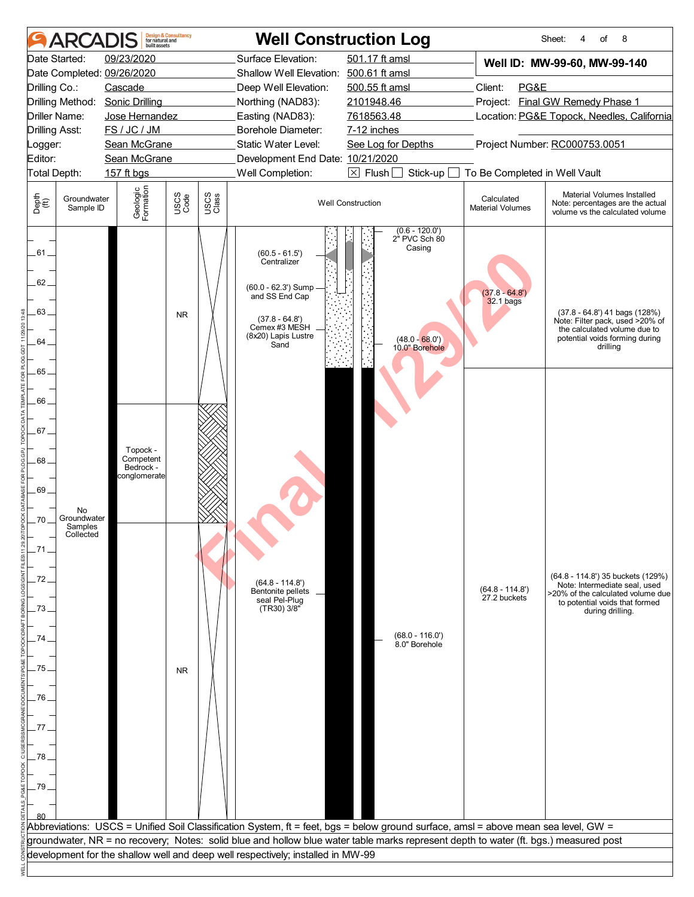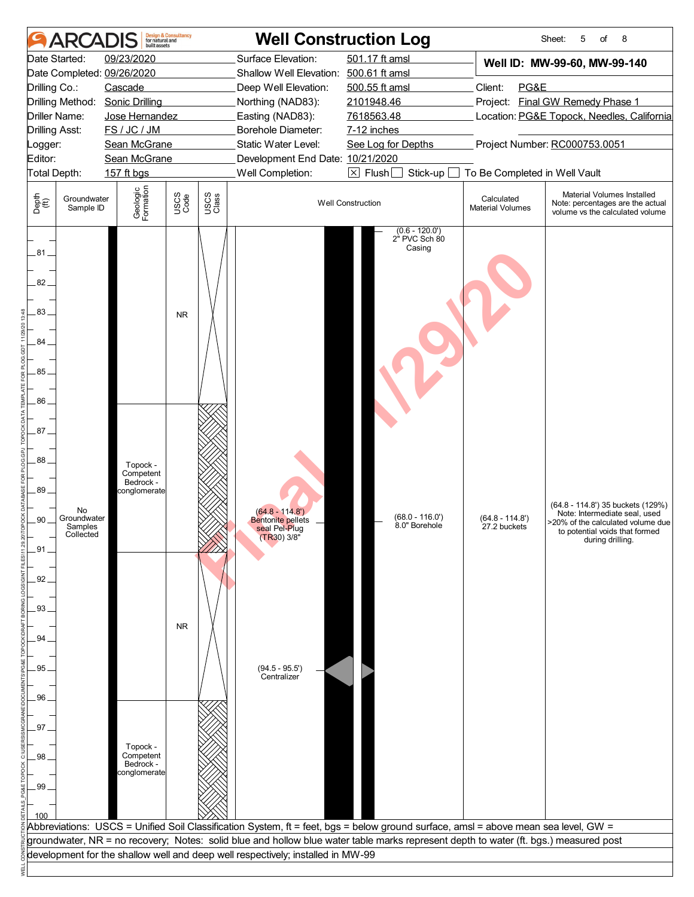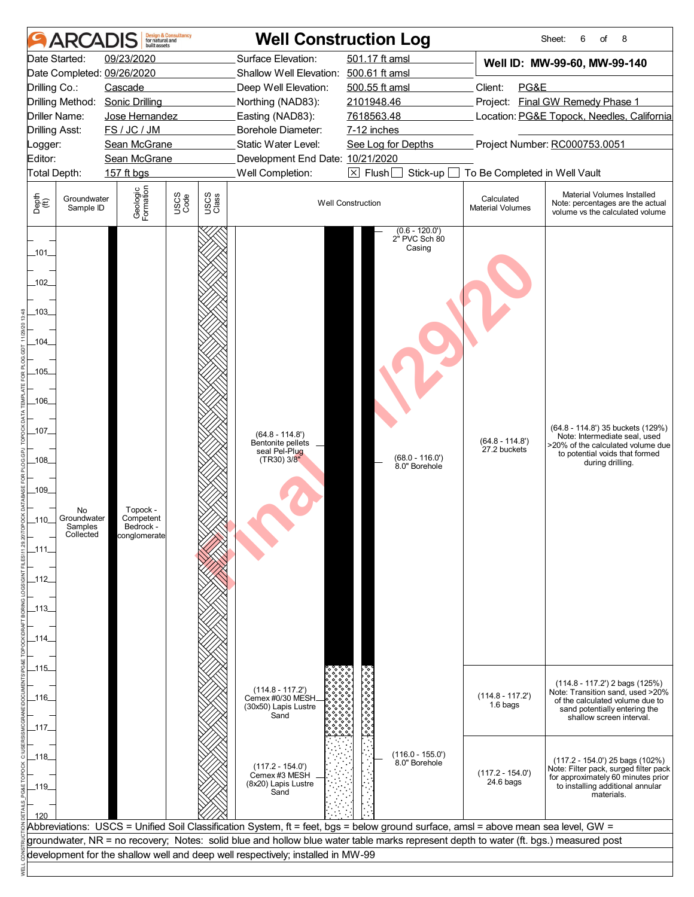| Surface Elevation:<br>501.17 ft amsl<br>Date Started:<br>09/23/2020<br>Well ID: MW-99-60, MW-99-140<br>Date Completed: 09/26/2020<br>Shallow Well Elevation: 500.61 ft amsl<br>Client:<br>PG&E<br>Drilling Co.:<br>Cascade<br>Deep Well Elevation:<br>500.55 ft amsl<br>Project: Final GW Remedy Phase 1<br>Drilling Method:<br><b>Sonic Drilling</b><br>Northing (NAD83):<br>2101948.46<br>Jose Hernandez<br>7618563.48<br>Location: PG&E Topock, Needles, California<br>Driller Name:<br>Easting (NAD83):<br>FS / JC / JM<br><b>Drilling Asst:</b><br><b>Borehole Diameter:</b><br>7-12 inches<br>Project Number: RC000753.0051<br>Sean McGrane<br>Static Water Level:<br>See Log for Depths<br>Logger:<br>Sean McGrane<br>Development End Date: 10/21/2020<br>$\boxtimes$ Flush [<br>To Be Completed in Well Vault<br>Total Depth:<br>157 ft bgs<br>Well Completion:<br>Stick-up<br>Geologic<br>Formation<br>Material Volumes Installed<br><b>USCS</b><br>Code<br>USCS<br>Class<br>Groundwater<br>Calculated<br><b>Well Construction</b><br>Note: percentages are the actual<br><b>Material Volumes</b><br>Sample ID<br>volume vs the calculated volume<br>$(0.6 - 120.0)$<br>2 <sup>"</sup> PVC Sch 80<br>Casing<br>(64.8 - 114.8') 35 buckets (129%)<br>$(64.8 - 114.8')$<br>Note: Intermediate seal, used<br>$(64.8 - 114.8')$<br>Bentonite pellets _<br>27.2 buckets<br>seal Pel-Plug<br>to potential voids that formed<br>$(68.0 - 116.0')$<br>(TR30) 3/8"<br>during drilling.<br>8.0" Borehole<br>Topock -<br>No<br>Groundwater<br>Competent<br>Bedrock -<br>Samples<br>Collected<br>conglomerate<br>_115_<br>$(114.8 - 117.2)$ 2 bags $(125%)$<br>(114.8 - 117.2')<br>Cemex #0/30 MESH.<br>$(114.8 - 117.2')$<br>of the calculated volume due to<br>1.6 bags<br>(30x50) Lapis Lustre<br>sand potentially entering the<br>Sand<br>shallow screen interval.<br>$(116.0 - 155.0')$<br>$(117.2 - 154.0')$ 25 bags $(102\%)$<br>8.0" Borehole<br>$(117.2 - 154.0')$<br>$(117.2 - 154.0)$<br>Cemex #3 MESH<br>$24.6$ bags<br>(8x20) Lapis Lustre<br>to installing additional annular<br>Sand<br>materials.<br>Abbreviations: USCS = Unified Soil Classification System, ft = feet, bgs = below ground surface, amsl = above mean sea level, GW =<br>groundwater, NR = no recovery; Notes: solid blue and hollow blue water table marks represent depth to water (ft. bgs.) measured post<br>development for the shallow well and deep well respectively; installed in MW-99 |                                                                                                                             | ARCAI | built assets | <b>Design &amp; Consultancy</b><br>for natural and | <b>Well Construction Log</b> |  | 6<br>8<br>Sheet:<br>of                                                      |
|---------------------------------------------------------------------------------------------------------------------------------------------------------------------------------------------------------------------------------------------------------------------------------------------------------------------------------------------------------------------------------------------------------------------------------------------------------------------------------------------------------------------------------------------------------------------------------------------------------------------------------------------------------------------------------------------------------------------------------------------------------------------------------------------------------------------------------------------------------------------------------------------------------------------------------------------------------------------------------------------------------------------------------------------------------------------------------------------------------------------------------------------------------------------------------------------------------------------------------------------------------------------------------------------------------------------------------------------------------------------------------------------------------------------------------------------------------------------------------------------------------------------------------------------------------------------------------------------------------------------------------------------------------------------------------------------------------------------------------------------------------------------------------------------------------------------------------------------------------------------------------------------------------------------------------------------------------------------------------------------------------------------------------------------------------------------------------------------------------------------------------------------------------------------------------------------------------------------------------------------------------------------------------------------------------------------------------------------------------------------------------------------------------------------------------------------------------------------------------|-----------------------------------------------------------------------------------------------------------------------------|-------|--------------|----------------------------------------------------|------------------------------|--|-----------------------------------------------------------------------------|
|                                                                                                                                                                                                                                                                                                                                                                                                                                                                                                                                                                                                                                                                                                                                                                                                                                                                                                                                                                                                                                                                                                                                                                                                                                                                                                                                                                                                                                                                                                                                                                                                                                                                                                                                                                                                                                                                                                                                                                                                                                                                                                                                                                                                                                                                                                                                                                                                                                                                                 |                                                                                                                             |       |              |                                                    |                              |  |                                                                             |
|                                                                                                                                                                                                                                                                                                                                                                                                                                                                                                                                                                                                                                                                                                                                                                                                                                                                                                                                                                                                                                                                                                                                                                                                                                                                                                                                                                                                                                                                                                                                                                                                                                                                                                                                                                                                                                                                                                                                                                                                                                                                                                                                                                                                                                                                                                                                                                                                                                                                                 |                                                                                                                             |       |              |                                                    |                              |  |                                                                             |
|                                                                                                                                                                                                                                                                                                                                                                                                                                                                                                                                                                                                                                                                                                                                                                                                                                                                                                                                                                                                                                                                                                                                                                                                                                                                                                                                                                                                                                                                                                                                                                                                                                                                                                                                                                                                                                                                                                                                                                                                                                                                                                                                                                                                                                                                                                                                                                                                                                                                                 |                                                                                                                             |       |              |                                                    |                              |  |                                                                             |
|                                                                                                                                                                                                                                                                                                                                                                                                                                                                                                                                                                                                                                                                                                                                                                                                                                                                                                                                                                                                                                                                                                                                                                                                                                                                                                                                                                                                                                                                                                                                                                                                                                                                                                                                                                                                                                                                                                                                                                                                                                                                                                                                                                                                                                                                                                                                                                                                                                                                                 |                                                                                                                             |       |              |                                                    |                              |  |                                                                             |
|                                                                                                                                                                                                                                                                                                                                                                                                                                                                                                                                                                                                                                                                                                                                                                                                                                                                                                                                                                                                                                                                                                                                                                                                                                                                                                                                                                                                                                                                                                                                                                                                                                                                                                                                                                                                                                                                                                                                                                                                                                                                                                                                                                                                                                                                                                                                                                                                                                                                                 |                                                                                                                             |       |              |                                                    |                              |  |                                                                             |
|                                                                                                                                                                                                                                                                                                                                                                                                                                                                                                                                                                                                                                                                                                                                                                                                                                                                                                                                                                                                                                                                                                                                                                                                                                                                                                                                                                                                                                                                                                                                                                                                                                                                                                                                                                                                                                                                                                                                                                                                                                                                                                                                                                                                                                                                                                                                                                                                                                                                                 |                                                                                                                             |       |              |                                                    |                              |  |                                                                             |
|                                                                                                                                                                                                                                                                                                                                                                                                                                                                                                                                                                                                                                                                                                                                                                                                                                                                                                                                                                                                                                                                                                                                                                                                                                                                                                                                                                                                                                                                                                                                                                                                                                                                                                                                                                                                                                                                                                                                                                                                                                                                                                                                                                                                                                                                                                                                                                                                                                                                                 |                                                                                                                             |       |              |                                                    |                              |  |                                                                             |
|                                                                                                                                                                                                                                                                                                                                                                                                                                                                                                                                                                                                                                                                                                                                                                                                                                                                                                                                                                                                                                                                                                                                                                                                                                                                                                                                                                                                                                                                                                                                                                                                                                                                                                                                                                                                                                                                                                                                                                                                                                                                                                                                                                                                                                                                                                                                                                                                                                                                                 | Editor:                                                                                                                     |       |              |                                                    |                              |  |                                                                             |
|                                                                                                                                                                                                                                                                                                                                                                                                                                                                                                                                                                                                                                                                                                                                                                                                                                                                                                                                                                                                                                                                                                                                                                                                                                                                                                                                                                                                                                                                                                                                                                                                                                                                                                                                                                                                                                                                                                                                                                                                                                                                                                                                                                                                                                                                                                                                                                                                                                                                                 |                                                                                                                             |       |              |                                                    |                              |  |                                                                             |
|                                                                                                                                                                                                                                                                                                                                                                                                                                                                                                                                                                                                                                                                                                                                                                                                                                                                                                                                                                                                                                                                                                                                                                                                                                                                                                                                                                                                                                                                                                                                                                                                                                                                                                                                                                                                                                                                                                                                                                                                                                                                                                                                                                                                                                                                                                                                                                                                                                                                                 | Depth<br>(ff)                                                                                                               |       |              |                                                    |                              |  |                                                                             |
|                                                                                                                                                                                                                                                                                                                                                                                                                                                                                                                                                                                                                                                                                                                                                                                                                                                                                                                                                                                                                                                                                                                                                                                                                                                                                                                                                                                                                                                                                                                                                                                                                                                                                                                                                                                                                                                                                                                                                                                                                                                                                                                                                                                                                                                                                                                                                                                                                                                                                 | _101_<br>$-102$<br>.103.<br>.104.<br>$-105$<br>_106_<br>_107_<br>_108_<br>_109_<br>_110_<br>_111.<br>_112_<br>_113_<br>114. |       |              |                                                    |                              |  | >20% of the calculated volume due                                           |
|                                                                                                                                                                                                                                                                                                                                                                                                                                                                                                                                                                                                                                                                                                                                                                                                                                                                                                                                                                                                                                                                                                                                                                                                                                                                                                                                                                                                                                                                                                                                                                                                                                                                                                                                                                                                                                                                                                                                                                                                                                                                                                                                                                                                                                                                                                                                                                                                                                                                                 | _116_<br>_117_                                                                                                              |       |              |                                                    |                              |  | Note: Transition sand, used >20%                                            |
|                                                                                                                                                                                                                                                                                                                                                                                                                                                                                                                                                                                                                                                                                                                                                                                                                                                                                                                                                                                                                                                                                                                                                                                                                                                                                                                                                                                                                                                                                                                                                                                                                                                                                                                                                                                                                                                                                                                                                                                                                                                                                                                                                                                                                                                                                                                                                                                                                                                                                 | _118_<br>_119_                                                                                                              |       |              |                                                    |                              |  | Note: Filter pack, surged filter pack<br>for approximately 60 minutes prior |
|                                                                                                                                                                                                                                                                                                                                                                                                                                                                                                                                                                                                                                                                                                                                                                                                                                                                                                                                                                                                                                                                                                                                                                                                                                                                                                                                                                                                                                                                                                                                                                                                                                                                                                                                                                                                                                                                                                                                                                                                                                                                                                                                                                                                                                                                                                                                                                                                                                                                                 |                                                                                                                             |       |              |                                                    |                              |  |                                                                             |
|                                                                                                                                                                                                                                                                                                                                                                                                                                                                                                                                                                                                                                                                                                                                                                                                                                                                                                                                                                                                                                                                                                                                                                                                                                                                                                                                                                                                                                                                                                                                                                                                                                                                                                                                                                                                                                                                                                                                                                                                                                                                                                                                                                                                                                                                                                                                                                                                                                                                                 |                                                                                                                             |       |              |                                                    |                              |  |                                                                             |
|                                                                                                                                                                                                                                                                                                                                                                                                                                                                                                                                                                                                                                                                                                                                                                                                                                                                                                                                                                                                                                                                                                                                                                                                                                                                                                                                                                                                                                                                                                                                                                                                                                                                                                                                                                                                                                                                                                                                                                                                                                                                                                                                                                                                                                                                                                                                                                                                                                                                                 |                                                                                                                             |       |              |                                                    |                              |  |                                                                             |
|                                                                                                                                                                                                                                                                                                                                                                                                                                                                                                                                                                                                                                                                                                                                                                                                                                                                                                                                                                                                                                                                                                                                                                                                                                                                                                                                                                                                                                                                                                                                                                                                                                                                                                                                                                                                                                                                                                                                                                                                                                                                                                                                                                                                                                                                                                                                                                                                                                                                                 |                                                                                                                             |       |              |                                                    |                              |  |                                                                             |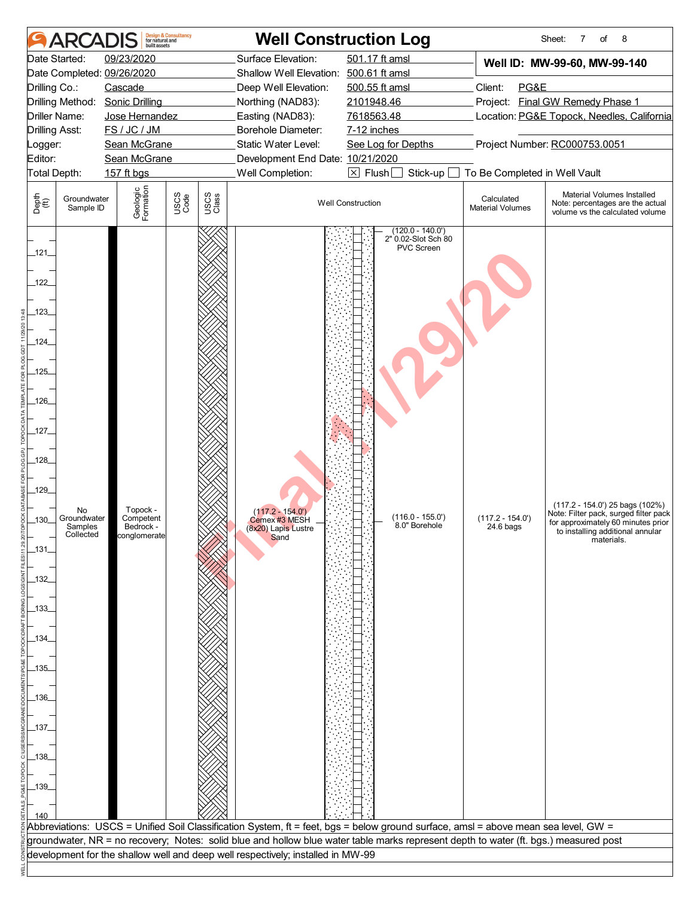| 501.17 ft amsl<br>09/23/2020<br>Surface Elevation:<br>Date Started:<br>Well ID: MW-99-60, MW-99-140<br>Date Completed: 09/26/2020<br>Shallow Well Elevation: 500.61 ft amsl<br>Client:<br>PG&E<br>Drilling Co.:<br>Cascade<br>Deep Well Elevation:<br>500.55 ft amsl<br>Project: Final GW Remedy Phase 1<br>Drilling Method:<br><b>Sonic Drilling</b><br>2101948.46<br>Northing (NAD83):<br>7618563.48<br>Location: PG&E Topock, Needles, California<br>Driller Name:<br>Jose Hernandez<br>Easting (NAD83):<br>FS / JC / JM<br>Borehole Diameter:<br><b>Drilling Asst:</b><br>7-12 inches<br>Static Water Level:<br>Project Number: RC000753.0051<br>Sean McGrane<br>See Log for Depths<br>Logger:<br>Editor:<br>Development End Date: 10/21/2020<br>Sean McGrane<br>Total Depth:<br>Well Completion:<br>$\boxed{\times}$ Flush<br>To Be Completed in Well Vault<br>157 ft bgs<br>Stick-up<br>Geologic<br>Formation<br>USCS<br>Code<br>USCS<br>Class<br>Depth<br>$\bigoplus_{i=1}^{n}$<br>Calculated<br>Groundwater<br><b>Well Construction</b><br><b>Material Volumes</b><br>Sample ID<br>$(120.0 - 140.0')$<br>2" 0.02-Slot Sch 80<br>PVC Screen<br>$-121$<br>122<br>.123.<br>$-124$<br>$-125$<br>$-126$<br>$-127$<br>$-128$<br>$-129$<br>Topock -<br>No<br>$(117.2 - 154.0')$<br>$(116.0 - 155.0')$<br>Groundwater<br>Competent<br>$(117.2 - 154.0')$<br>$-130-$<br>Cemex #3 MESH<br>8.0" Borehole<br>Bedrock -<br>24.6 bags<br>Samples<br>(8x20) Lapis Lustre<br>Sand<br>Collected<br>conglomerate<br>materials.<br>$\_131$<br>$-132$<br>_133_<br>.134<br>_135_<br>_136_<br>_137_<br>138<br>$-139$<br>Abbreviations: USCS = Unified Soil Classification System, ft = feet, bgs = below ground surface, amsl = above mean sea level, GW =<br>groundwater, NR = no recovery; Notes: solid blue and hollow blue water table marks represent depth to water (ft. bgs.) measured post<br>development for the shallow well and deep well respectively; installed in MW-99 | <b>ARCAI</b> | built assets | <b>Design &amp; Consultancy</b><br>for natural and |  | <b>Well Construction Log</b> | 8<br>Sheet:<br>7<br>of                                                                                                                                 |
|-------------------------------------------------------------------------------------------------------------------------------------------------------------------------------------------------------------------------------------------------------------------------------------------------------------------------------------------------------------------------------------------------------------------------------------------------------------------------------------------------------------------------------------------------------------------------------------------------------------------------------------------------------------------------------------------------------------------------------------------------------------------------------------------------------------------------------------------------------------------------------------------------------------------------------------------------------------------------------------------------------------------------------------------------------------------------------------------------------------------------------------------------------------------------------------------------------------------------------------------------------------------------------------------------------------------------------------------------------------------------------------------------------------------------------------------------------------------------------------------------------------------------------------------------------------------------------------------------------------------------------------------------------------------------------------------------------------------------------------------------------------------------------------------------------------------------------------------------------------------------------------------------------------------------------------------------------------------------|--------------|--------------|----------------------------------------------------|--|------------------------------|--------------------------------------------------------------------------------------------------------------------------------------------------------|
|                                                                                                                                                                                                                                                                                                                                                                                                                                                                                                                                                                                                                                                                                                                                                                                                                                                                                                                                                                                                                                                                                                                                                                                                                                                                                                                                                                                                                                                                                                                                                                                                                                                                                                                                                                                                                                                                                                                                                                         |              |              |                                                    |  |                              |                                                                                                                                                        |
|                                                                                                                                                                                                                                                                                                                                                                                                                                                                                                                                                                                                                                                                                                                                                                                                                                                                                                                                                                                                                                                                                                                                                                                                                                                                                                                                                                                                                                                                                                                                                                                                                                                                                                                                                                                                                                                                                                                                                                         |              |              |                                                    |  |                              |                                                                                                                                                        |
|                                                                                                                                                                                                                                                                                                                                                                                                                                                                                                                                                                                                                                                                                                                                                                                                                                                                                                                                                                                                                                                                                                                                                                                                                                                                                                                                                                                                                                                                                                                                                                                                                                                                                                                                                                                                                                                                                                                                                                         |              |              |                                                    |  |                              | Material Volumes Installed<br>Note: percentages are the actual<br>volume vs the calculated volume                                                      |
|                                                                                                                                                                                                                                                                                                                                                                                                                                                                                                                                                                                                                                                                                                                                                                                                                                                                                                                                                                                                                                                                                                                                                                                                                                                                                                                                                                                                                                                                                                                                                                                                                                                                                                                                                                                                                                                                                                                                                                         |              |              |                                                    |  |                              | $(117.2 - 154.0')$ 25 bags $(102%)$<br>Note: Filter pack, surged filter pack<br>for approximately 60 minutes prior<br>to installing additional annular |
|                                                                                                                                                                                                                                                                                                                                                                                                                                                                                                                                                                                                                                                                                                                                                                                                                                                                                                                                                                                                                                                                                                                                                                                                                                                                                                                                                                                                                                                                                                                                                                                                                                                                                                                                                                                                                                                                                                                                                                         |              |              |                                                    |  |                              |                                                                                                                                                        |
|                                                                                                                                                                                                                                                                                                                                                                                                                                                                                                                                                                                                                                                                                                                                                                                                                                                                                                                                                                                                                                                                                                                                                                                                                                                                                                                                                                                                                                                                                                                                                                                                                                                                                                                                                                                                                                                                                                                                                                         |              |              |                                                    |  |                              |                                                                                                                                                        |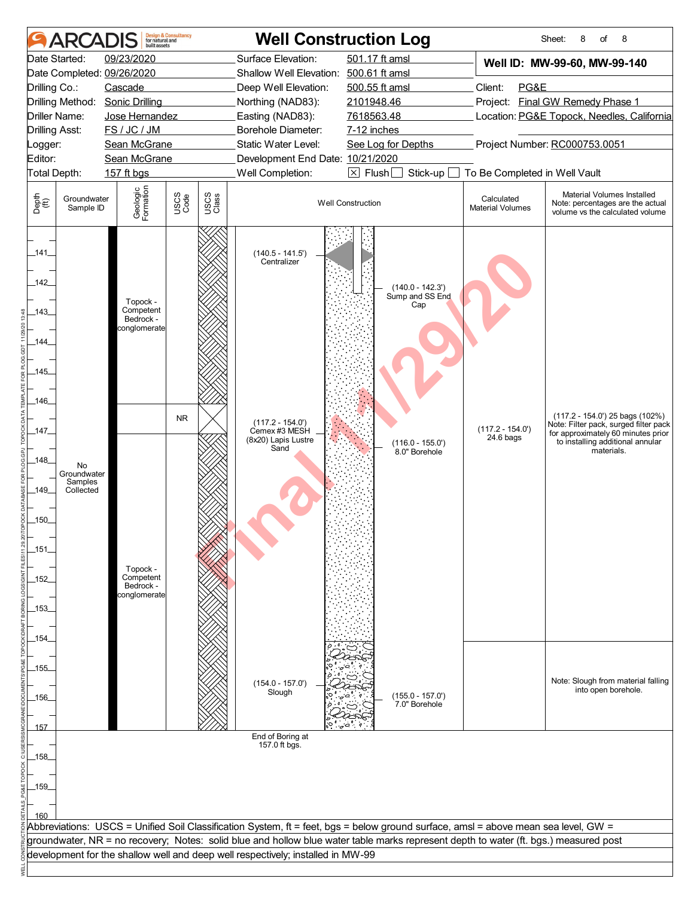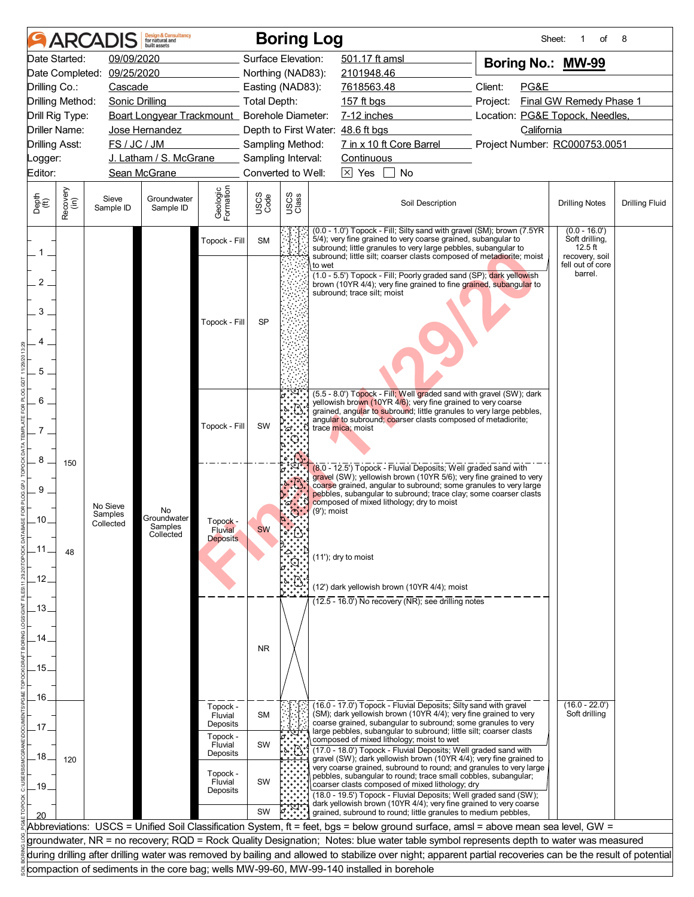|                          |                      |                                  | <b>Design &amp; Consultancy</b><br>for natural and<br>huilt assets |                                 |                                          |               | <b>Boring Log</b>                                                                                                                                                                                                                                                                                                                           | Sheet:                          | οf                                                               | 8                     |
|--------------------------|----------------------|----------------------------------|--------------------------------------------------------------------|---------------------------------|------------------------------------------|---------------|---------------------------------------------------------------------------------------------------------------------------------------------------------------------------------------------------------------------------------------------------------------------------------------------------------------------------------------------|---------------------------------|------------------------------------------------------------------|-----------------------|
|                          | Date Started:        | 09/09/2020                       |                                                                    |                                 | Surface Elevation:                       |               | 501.17 ft amsl                                                                                                                                                                                                                                                                                                                              | Boring No.: MW-99               |                                                                  |                       |
|                          |                      | Date Completed: 09/25/2020       |                                                                    |                                 | Northing (NAD83):                        |               | 2101948.46                                                                                                                                                                                                                                                                                                                                  |                                 |                                                                  |                       |
| Drilling Co.:            |                      | Cascade                          |                                                                    |                                 | Easting (NAD83):                         |               | 7618563.48                                                                                                                                                                                                                                                                                                                                  | Client:<br>PG&E                 |                                                                  |                       |
| Drilling Method:         |                      | Sonic Drilling                   |                                                                    |                                 | <b>Total Depth:</b>                      |               | 157 ft bgs                                                                                                                                                                                                                                                                                                                                  | Project:                        | Final GW Remedy Phase 1                                          |                       |
| Drill Rig Type:          |                      |                                  | Boart Longyear Trackmount_ Borehole Diameter:                      |                                 |                                          |               | 7-12 inches                                                                                                                                                                                                                                                                                                                                 | Location: PG&E Topock, Needles, |                                                                  |                       |
|                          | <b>Driller Name:</b> |                                  | Jose Hernandez                                                     |                                 |                                          |               | Depth to First Water: 48.6 ft bgs                                                                                                                                                                                                                                                                                                           | California                      |                                                                  |                       |
| <b>Drilling Asst:</b>    |                      | FS / JC / JM                     |                                                                    |                                 | Sampling Method:                         |               | 7 in x 10 ft Core Barrel                                                                                                                                                                                                                                                                                                                    | Project Number: RC000753.0051   |                                                                  |                       |
| Logger:<br>Editor:       |                      |                                  | J. Latham / S. McGrane<br>Sean McGrane                             |                                 | Sampling Interval:<br>Converted to Well: |               | Continuous<br>$\boxtimes$ Yes<br>No                                                                                                                                                                                                                                                                                                         |                                 |                                                                  |                       |
|                          |                      |                                  |                                                                    |                                 |                                          |               |                                                                                                                                                                                                                                                                                                                                             |                                 |                                                                  |                       |
| Depth<br>(ft)            | Recovery<br>(in)     | Sieve<br>Sample ID               | Groundwater<br>Sample ID                                           | Geologic<br>Formation           | USCS<br>Code                             | USCS<br>Class | Soil Description                                                                                                                                                                                                                                                                                                                            |                                 | <b>Drilling Notes</b>                                            | <b>Drilling Fluid</b> |
| $1$ .                    |                      |                                  |                                                                    | Topock - Fill                   | <b>SM</b>                                |               | (0.0 - 1.0') Topock - Fill; Silty sand with gravel (SM); brown (7.5YR<br>5/4); very fine grained to very coarse grained, subangular to<br>subround; little granules to very large pebbles, subangular to<br>subround; little silt; coarser clasts composed of metadiorite; moist                                                            |                                 | $(0.0 - 16.0')$<br>Soft drilling,<br>$12.5$ ft<br>recovery, soil |                       |
| $\overline{2}$<br>3<br>5 |                      |                                  |                                                                    | Topock - Fill                   | <b>SP</b>                                |               | to wet<br>(1.0 - 5.5') Topock - Fill; Poorly graded sand (SP); dark yellowish<br>brown (10YR 4/4); very fine grained to fine grained, subangular to<br>subround; trace silt; moist                                                                                                                                                          |                                 | fell out of core<br>barrel.                                      |                       |
| 6                        |                      |                                  |                                                                    | Topock - Fill                   | SW                                       |               | (5.5 - 8.0') Topock - Fill; Well graded sand with gravel (SW); dark<br>yellowish brown (10YR 4/6); very fine grained to very coarse<br>grained, angular to subround; little granules to very large pebbles,<br>angular to subround; coarser clasts composed of metadiorite;<br>trace mica; moist                                            |                                 |                                                                  |                       |
| 8<br>9<br>.10.           | 150                  | No Sieve<br>Samples<br>Collected | No.<br>Groundwater<br>Samples                                      | Topock -                        |                                          |               | (8.0 - 12.5') Topock - Fluvial Deposits; Well graded sand with<br>gravel (SW); yellowish brown (10YR 5/6); very fine grained to very<br>coarse grained, angular to subround; some granules to very large<br>pebbles, subangular to subround; trace clay; some coarser clasts<br>composed of mixed lithology; dry to moist<br>$(9')$ ; moist |                                 |                                                                  |                       |
|                          |                      |                                  | Collected                                                          | Fluvial<br><b>Deposits</b>      | <b>SW</b>                                |               |                                                                                                                                                                                                                                                                                                                                             |                                 |                                                                  |                       |
| .11                      | 48                   |                                  |                                                                    |                                 |                                          |               | (11'); dry to moist                                                                                                                                                                                                                                                                                                                         |                                 |                                                                  |                       |
| .12.                     |                      |                                  |                                                                    |                                 |                                          |               | (12') dark yellowish brown (10YR 4/4); moist                                                                                                                                                                                                                                                                                                |                                 |                                                                  |                       |
| 13.                      |                      |                                  |                                                                    |                                 |                                          |               | $(12.5 - 16.0)$ No recovery (NR); see drilling notes                                                                                                                                                                                                                                                                                        |                                 |                                                                  |                       |
| 14                       |                      |                                  |                                                                    |                                 | <b>NR</b>                                |               |                                                                                                                                                                                                                                                                                                                                             |                                 |                                                                  |                       |
| .15.                     |                      |                                  |                                                                    |                                 |                                          |               |                                                                                                                                                                                                                                                                                                                                             |                                 |                                                                  |                       |
| .16.                     |                      |                                  |                                                                    | Topock -                        |                                          |               | (16.0 - 17.0') Topock - Fluvial Deposits; Silty sand with gravel                                                                                                                                                                                                                                                                            |                                 | $(16.0 - 22.0)$                                                  |                       |
| 17                       |                      |                                  |                                                                    | Fluvial<br>Deposits             | <b>SM</b>                                |               | (SM); dark yellowish brown (10YR 4/4); very fine grained to very<br>coarse grained, subangular to subround; some granules to very<br>large pebbles, subangular to subround; little silt; coarser clasts                                                                                                                                     |                                 | Soft drilling                                                    |                       |
| 18 <sub>1</sub>          | 120                  |                                  |                                                                    | Topock -<br>Fluvial<br>Deposits | SW                                       |               | composed of mixed lithology; moist to wet<br>(17.0 - 18.0') Topock - Fluvial Deposits; Well graded sand with<br>gravel (SW); dark yellowish brown (10YR 4/4); very fine grained to                                                                                                                                                          |                                 |                                                                  |                       |
| .19                      |                      |                                  |                                                                    | Topock -<br>Fluvial<br>Deposits | SW                                       |               | very coarse grained, subround to round; and granules to very large<br>pebbles, subangular to round; trace small cobbles, subangular;<br>coarser clasts composed of mixed lithology; dry<br>(18.0 - 19.5') Topock - Fluvial Deposits; Well graded sand (SW);<br>dark yellowish brown (10YR 4/4); very fine grained to very coarse            |                                 |                                                                  |                       |
|                          |                      |                                  |                                                                    |                                 | SW                                       |               | grained, subround to round; little granules to medium pebbles,                                                                                                                                                                                                                                                                              |                                 |                                                                  |                       |
|                          |                      |                                  |                                                                    |                                 |                                          |               | Abbreviations: USCS = Unified Soil Classification System, ft = feet, bgs = below ground surface, amsl = above mean sea level, GW =                                                                                                                                                                                                          |                                 |                                                                  |                       |
|                          |                      |                                  |                                                                    |                                 |                                          |               | groundwater, NR = no recovery; RQD = Rock Quality Designation; Notes: blue water table symbol represents depth to water was measured                                                                                                                                                                                                        |                                 |                                                                  |                       |
|                          |                      |                                  |                                                                    |                                 |                                          |               | during drilling after drilling water was removed by bailing and allowed to stabilize over night; apparent partial recoveries can be the result of potential                                                                                                                                                                                 |                                 |                                                                  |                       |
|                          |                      |                                  |                                                                    |                                 |                                          |               | compaction of sediments in the core bag; wells MW-99-60, MW-99-140 installed in borehole                                                                                                                                                                                                                                                    |                                 |                                                                  |                       |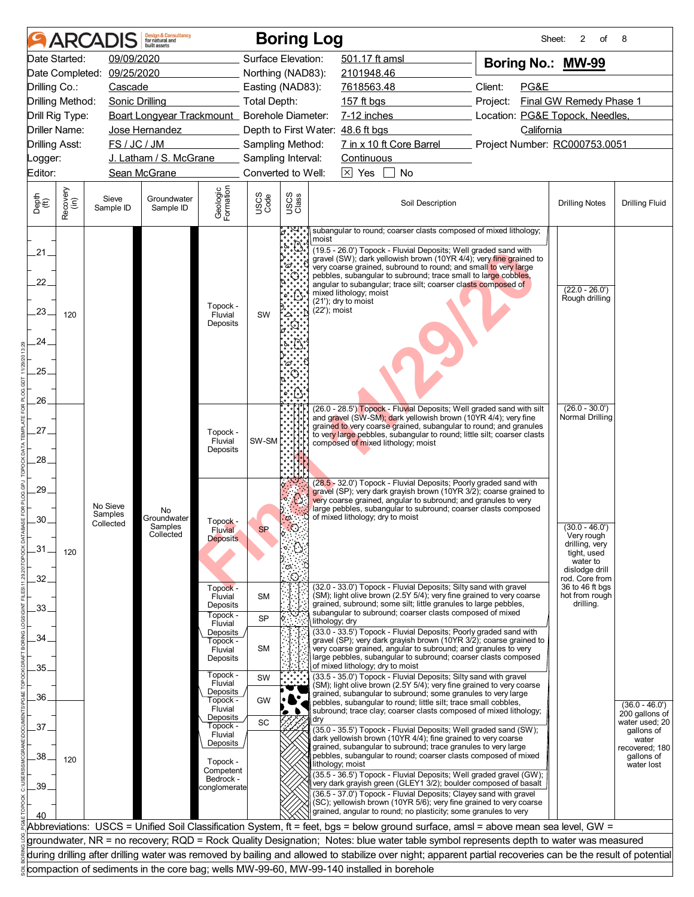| Date Started:<br>09/09/2020<br>Surface Elevation:<br>501.17 ft amsl<br>Boring No.: MW-99<br>Date Completed: 09/25/2020<br>Northing (NAD83):<br>2101948.46<br>Client:<br>PG&E<br>Drilling Co.:<br>Cascade<br>Easting (NAD83):<br>7618563.48<br>Final GW Remedy Phase 1<br>Drilling Method:<br>Sonic Drilling<br>Total Depth:<br>157 ft bgs<br>Project:<br>Boart Longyear Trackmount_ Borehole Diameter:<br>7-12 inches<br>Location: PG&E Topock, Needles,<br>Drill Rig Type:<br><b>Driller Name:</b><br>Jose Hernandez<br>Depth to First Water: 48.6 ft bgs<br>California<br>7 in x 10 ft Core Barrel<br>FS / JC / JM<br>Project Number: RC000753.0051<br><b>Drilling Asst:</b><br>Sampling Method:<br>J. Latham / S. McGrane<br>Sampling Interval:<br>Continuous<br>Logger:<br>Editor:<br>Converted to Well:<br>$\boxtimes$ Yes<br>$\lceil$ $\lceil$<br>Sean McGrane<br>No<br>Geologic<br>Formation<br>Recovery<br>(in)<br>USCS<br>Code<br>USCS<br>Class<br>Depth<br>(ft)<br>Sieve<br>Groundwater<br>Soil Description<br><b>Drilling Notes</b><br>Sample ID<br>Sample ID<br>subangular to round; coarser clasts composed of mixed lithology;<br>moist<br>(19.5 - 26.0') Topock - Fluvial Deposits; Well graded sand with<br>$21_{-}$<br>gravel (SW); dark yellowish brown (10YR 4/4); very fine grained to<br>'ద్<br>very coarse grained, subround to round; and small to very large<br>pebbles, subangular to subround; trace small to large cobbles,<br>22 <sub>1</sub><br>angular to subangular; trace silt; coarser clasts composed of<br>$(22.0 - 26.0')$<br>mixed lithology; moist<br>Rough drilling<br>(21'); dry to moist<br>Topock -<br>(22'); moist<br>.23.<br>SW<br>Fluvial<br>120<br>Deposits<br>24.<br>25.<br>26.<br>$(26.0 - 30.0')$<br>(26.0 - 28.5') Topock - Fluvial Deposits; Well graded sand with silt<br>Normal Drilling<br>and gravel (SW-SM); dark yellowish brown (10YR 4/4); very fine<br>grained to very coarse grained, subangular to round; and granules<br>27.<br>Topock -<br>to very large pebbles, subangular to round; little silt; coarser clasts<br>SW-SM<br>Fluvial<br>composed of mixed lithology; moist<br>Deposits<br>28.<br>(28.5 - 32.0') Topock - Fluvial Deposits; Poorly graded sand with<br>29.<br>gravel (SP); very dark grayish brown (10YR 3/2); coarse grained to<br>very coarse grained, angular to subround; and granules to very<br>No Sieve<br>large pebbles, subangular to subround; coarser clasts composed<br>No.<br>Samples<br>of mixed lithology; dry to moist<br>Groundwater<br>O.<br>30<br>Topock -<br>Collected<br>Samples<br>$(30.0 - 46.0')$<br><b>SP</b><br>Fluvial<br>Collected<br>Very rough<br><b>Deposits</b><br>drilling, very<br>$-31$<br>120<br>tight, used<br>water to<br>O.<br>dislodge drill<br>32.<br>rod. Core from<br>(32.0 - 33.0') Topock - Fluvial Deposits; Silty sand with gravel<br>36 to 46 ft bgs<br>Topock -<br>(SM); light olive brown (2.5Y 5/4); very fine grained to very coarse<br>hot from rough<br>Fluvial<br><b>SM</b><br>grained, subround; some silt; little granules to large pebbles,<br>drilling.<br>Deposits<br>33.<br>subangular to subround; coarser clasts composed of mixed<br>Topock -<br><b>SP</b><br>lithology; dry<br>Fluvial<br>(33.0 - 33.5') Topock - Fluvial Deposits; Poorly graded sand with<br>Deposits<br>34<br>gravel (SP), very dark grayish brown (10YR 3/2), coarse grained to<br>Topock -<br><b>SM</b><br>very coarse grained, angular to subround; and granules to very<br>Fluvial<br>large pebbles, subangular to subround; coarser clasts composed<br>Deposits<br>of mixed lithology; dry to moist<br>35.<br>Topock -<br>(33.5 - 35.0') Topock - Fluvial Deposits; Silty sand with gravel<br>SW<br>Fluvial<br>(SM); light olive brown (2.5Y 5/4); very fine grained to very coarse<br>Deposits<br>grained, subangular to subround; some granules to very large<br>36.<br>GW<br>Topock -<br>pebbles, subangular to round; little silt; trace small cobbles,<br>Fluvial<br>subround; trace clay; coarser clasts composed of mixed lithology;<br>Deposits<br>dry<br>SC<br>Topock -<br>37<br>(35.0 - 35.5') Topock - Fluvial Deposits; Well graded sand (SW);<br>Fluvial<br>dark yellowish brown (10YR 4/4); fine grained to very coarse<br>Deposits<br>grained, subangular to subround; trace granules to very large<br>pebbles, subangular to round; coarser clasts composed of mixed<br>38.<br>120<br>Topock -<br>lithology; moist<br>Competent<br>(35.5 - 36.5') Topock - Fluvial Deposits; Well graded gravel (GW);<br>Bedrock -<br>very dark grayish green (GLEY1 3/2); boulder composed of basalt<br>39<br>conglomerate<br>(36.5 - 37.0') Topock - Fluvial Deposits; Clayey sand with gravel<br>(SC); yellowish brown (10YR 5/6); very fine grained to very coarse<br>grained, angular to round; no plasticity; some granules to very<br>Abbreviations: USCS = Unified Soil Classification System, ft = feet, bgs = below ground surface, amsl = above mean sea level, GW =<br>groundwater, NR = no recovery; RQD = Rock Quality Designation; Notes: blue water table symbol represents depth to water was measured<br>during drilling after drilling water was removed by bailing and allowed to stabilize over night; apparent partial recoveries can be the result of potential | <b>ARCAI</b> | <b>Design &amp; Consultancy</b><br>for natural and<br>huilt assets |  | <b>Boring Log</b> |  |  | Sheet: | 2<br>of | 8                                                                 |
|------------------------------------------------------------------------------------------------------------------------------------------------------------------------------------------------------------------------------------------------------------------------------------------------------------------------------------------------------------------------------------------------------------------------------------------------------------------------------------------------------------------------------------------------------------------------------------------------------------------------------------------------------------------------------------------------------------------------------------------------------------------------------------------------------------------------------------------------------------------------------------------------------------------------------------------------------------------------------------------------------------------------------------------------------------------------------------------------------------------------------------------------------------------------------------------------------------------------------------------------------------------------------------------------------------------------------------------------------------------------------------------------------------------------------------------------------------------------------------------------------------------------------------------------------------------------------------------------------------------------------------------------------------------------------------------------------------------------------------------------------------------------------------------------------------------------------------------------------------------------------------------------------------------------------------------------------------------------------------------------------------------------------------------------------------------------------------------------------------------------------------------------------------------------------------------------------------------------------------------------------------------------------------------------------------------------------------------------------------------------------------------------------------------------------------------------------------------------------------------------------------------------------------------------------------------------------------------------------------------------------------------------------------------------------------------------------------------------------------------------------------------------------------------------------------------------------------------------------------------------------------------------------------------------------------------------------------------------------------------------------------------------------------------------------------------------------------------------------------------------------------------------------------------------------------------------------------------------------------------------------------------------------------------------------------------------------------------------------------------------------------------------------------------------------------------------------------------------------------------------------------------------------------------------------------------------------------------------------------------------------------------------------------------------------------------------------------------------------------------------------------------------------------------------------------------------------------------------------------------------------------------------------------------------------------------------------------------------------------------------------------------------------------------------------------------------------------------------------------------------------------------------------------------------------------------------------------------------------------------------------------------------------------------------------------------------------------------------------------------------------------------------------------------------------------------------------------------------------------------------------------------------------------------------------------------------------------------------------------------------------------------------------------------------------------------------------------------------------------------------------------------------------------------------------------------------------------------------------------------------------------------------------------------------------------------------------------------------------------------------------------------------------------------------------------------------------------------------------------------------------------------------------------------------------------------------------------------------------------------------------------------------------------------------------------------|--------------|--------------------------------------------------------------------|--|-------------------|--|--|--------|---------|-------------------------------------------------------------------|
|                                                                                                                                                                                                                                                                                                                                                                                                                                                                                                                                                                                                                                                                                                                                                                                                                                                                                                                                                                                                                                                                                                                                                                                                                                                                                                                                                                                                                                                                                                                                                                                                                                                                                                                                                                                                                                                                                                                                                                                                                                                                                                                                                                                                                                                                                                                                                                                                                                                                                                                                                                                                                                                                                                                                                                                                                                                                                                                                                                                                                                                                                                                                                                                                                                                                                                                                                                                                                                                                                                                                                                                                                                                                                                                                                                                                                                                                                                                                                                                                                                                                                                                                                                                                                                                                                                                                                                                                                                                                                                                                                                                                                                                                                                                                                                                                                                                                                                                                                                                                                                                                                                                                                                                                                                                                                                                  |              |                                                                    |  |                   |  |  |        |         |                                                                   |
|                                                                                                                                                                                                                                                                                                                                                                                                                                                                                                                                                                                                                                                                                                                                                                                                                                                                                                                                                                                                                                                                                                                                                                                                                                                                                                                                                                                                                                                                                                                                                                                                                                                                                                                                                                                                                                                                                                                                                                                                                                                                                                                                                                                                                                                                                                                                                                                                                                                                                                                                                                                                                                                                                                                                                                                                                                                                                                                                                                                                                                                                                                                                                                                                                                                                                                                                                                                                                                                                                                                                                                                                                                                                                                                                                                                                                                                                                                                                                                                                                                                                                                                                                                                                                                                                                                                                                                                                                                                                                                                                                                                                                                                                                                                                                                                                                                                                                                                                                                                                                                                                                                                                                                                                                                                                                                                  |              |                                                                    |  |                   |  |  |        |         |                                                                   |
|                                                                                                                                                                                                                                                                                                                                                                                                                                                                                                                                                                                                                                                                                                                                                                                                                                                                                                                                                                                                                                                                                                                                                                                                                                                                                                                                                                                                                                                                                                                                                                                                                                                                                                                                                                                                                                                                                                                                                                                                                                                                                                                                                                                                                                                                                                                                                                                                                                                                                                                                                                                                                                                                                                                                                                                                                                                                                                                                                                                                                                                                                                                                                                                                                                                                                                                                                                                                                                                                                                                                                                                                                                                                                                                                                                                                                                                                                                                                                                                                                                                                                                                                                                                                                                                                                                                                                                                                                                                                                                                                                                                                                                                                                                                                                                                                                                                                                                                                                                                                                                                                                                                                                                                                                                                                                                                  |              |                                                                    |  |                   |  |  |        |         |                                                                   |
|                                                                                                                                                                                                                                                                                                                                                                                                                                                                                                                                                                                                                                                                                                                                                                                                                                                                                                                                                                                                                                                                                                                                                                                                                                                                                                                                                                                                                                                                                                                                                                                                                                                                                                                                                                                                                                                                                                                                                                                                                                                                                                                                                                                                                                                                                                                                                                                                                                                                                                                                                                                                                                                                                                                                                                                                                                                                                                                                                                                                                                                                                                                                                                                                                                                                                                                                                                                                                                                                                                                                                                                                                                                                                                                                                                                                                                                                                                                                                                                                                                                                                                                                                                                                                                                                                                                                                                                                                                                                                                                                                                                                                                                                                                                                                                                                                                                                                                                                                                                                                                                                                                                                                                                                                                                                                                                  |              |                                                                    |  |                   |  |  |        |         |                                                                   |
|                                                                                                                                                                                                                                                                                                                                                                                                                                                                                                                                                                                                                                                                                                                                                                                                                                                                                                                                                                                                                                                                                                                                                                                                                                                                                                                                                                                                                                                                                                                                                                                                                                                                                                                                                                                                                                                                                                                                                                                                                                                                                                                                                                                                                                                                                                                                                                                                                                                                                                                                                                                                                                                                                                                                                                                                                                                                                                                                                                                                                                                                                                                                                                                                                                                                                                                                                                                                                                                                                                                                                                                                                                                                                                                                                                                                                                                                                                                                                                                                                                                                                                                                                                                                                                                                                                                                                                                                                                                                                                                                                                                                                                                                                                                                                                                                                                                                                                                                                                                                                                                                                                                                                                                                                                                                                                                  |              |                                                                    |  |                   |  |  |        |         |                                                                   |
|                                                                                                                                                                                                                                                                                                                                                                                                                                                                                                                                                                                                                                                                                                                                                                                                                                                                                                                                                                                                                                                                                                                                                                                                                                                                                                                                                                                                                                                                                                                                                                                                                                                                                                                                                                                                                                                                                                                                                                                                                                                                                                                                                                                                                                                                                                                                                                                                                                                                                                                                                                                                                                                                                                                                                                                                                                                                                                                                                                                                                                                                                                                                                                                                                                                                                                                                                                                                                                                                                                                                                                                                                                                                                                                                                                                                                                                                                                                                                                                                                                                                                                                                                                                                                                                                                                                                                                                                                                                                                                                                                                                                                                                                                                                                                                                                                                                                                                                                                                                                                                                                                                                                                                                                                                                                                                                  |              |                                                                    |  |                   |  |  |        |         |                                                                   |
|                                                                                                                                                                                                                                                                                                                                                                                                                                                                                                                                                                                                                                                                                                                                                                                                                                                                                                                                                                                                                                                                                                                                                                                                                                                                                                                                                                                                                                                                                                                                                                                                                                                                                                                                                                                                                                                                                                                                                                                                                                                                                                                                                                                                                                                                                                                                                                                                                                                                                                                                                                                                                                                                                                                                                                                                                                                                                                                                                                                                                                                                                                                                                                                                                                                                                                                                                                                                                                                                                                                                                                                                                                                                                                                                                                                                                                                                                                                                                                                                                                                                                                                                                                                                                                                                                                                                                                                                                                                                                                                                                                                                                                                                                                                                                                                                                                                                                                                                                                                                                                                                                                                                                                                                                                                                                                                  |              |                                                                    |  |                   |  |  |        |         |                                                                   |
|                                                                                                                                                                                                                                                                                                                                                                                                                                                                                                                                                                                                                                                                                                                                                                                                                                                                                                                                                                                                                                                                                                                                                                                                                                                                                                                                                                                                                                                                                                                                                                                                                                                                                                                                                                                                                                                                                                                                                                                                                                                                                                                                                                                                                                                                                                                                                                                                                                                                                                                                                                                                                                                                                                                                                                                                                                                                                                                                                                                                                                                                                                                                                                                                                                                                                                                                                                                                                                                                                                                                                                                                                                                                                                                                                                                                                                                                                                                                                                                                                                                                                                                                                                                                                                                                                                                                                                                                                                                                                                                                                                                                                                                                                                                                                                                                                                                                                                                                                                                                                                                                                                                                                                                                                                                                                                                  |              |                                                                    |  |                   |  |  |        |         |                                                                   |
|                                                                                                                                                                                                                                                                                                                                                                                                                                                                                                                                                                                                                                                                                                                                                                                                                                                                                                                                                                                                                                                                                                                                                                                                                                                                                                                                                                                                                                                                                                                                                                                                                                                                                                                                                                                                                                                                                                                                                                                                                                                                                                                                                                                                                                                                                                                                                                                                                                                                                                                                                                                                                                                                                                                                                                                                                                                                                                                                                                                                                                                                                                                                                                                                                                                                                                                                                                                                                                                                                                                                                                                                                                                                                                                                                                                                                                                                                                                                                                                                                                                                                                                                                                                                                                                                                                                                                                                                                                                                                                                                                                                                                                                                                                                                                                                                                                                                                                                                                                                                                                                                                                                                                                                                                                                                                                                  |              |                                                                    |  |                   |  |  |        |         |                                                                   |
|                                                                                                                                                                                                                                                                                                                                                                                                                                                                                                                                                                                                                                                                                                                                                                                                                                                                                                                                                                                                                                                                                                                                                                                                                                                                                                                                                                                                                                                                                                                                                                                                                                                                                                                                                                                                                                                                                                                                                                                                                                                                                                                                                                                                                                                                                                                                                                                                                                                                                                                                                                                                                                                                                                                                                                                                                                                                                                                                                                                                                                                                                                                                                                                                                                                                                                                                                                                                                                                                                                                                                                                                                                                                                                                                                                                                                                                                                                                                                                                                                                                                                                                                                                                                                                                                                                                                                                                                                                                                                                                                                                                                                                                                                                                                                                                                                                                                                                                                                                                                                                                                                                                                                                                                                                                                                                                  |              |                                                                    |  |                   |  |  |        |         | <b>Drilling Fluid</b>                                             |
|                                                                                                                                                                                                                                                                                                                                                                                                                                                                                                                                                                                                                                                                                                                                                                                                                                                                                                                                                                                                                                                                                                                                                                                                                                                                                                                                                                                                                                                                                                                                                                                                                                                                                                                                                                                                                                                                                                                                                                                                                                                                                                                                                                                                                                                                                                                                                                                                                                                                                                                                                                                                                                                                                                                                                                                                                                                                                                                                                                                                                                                                                                                                                                                                                                                                                                                                                                                                                                                                                                                                                                                                                                                                                                                                                                                                                                                                                                                                                                                                                                                                                                                                                                                                                                                                                                                                                                                                                                                                                                                                                                                                                                                                                                                                                                                                                                                                                                                                                                                                                                                                                                                                                                                                                                                                                                                  |              |                                                                    |  |                   |  |  |        |         |                                                                   |
|                                                                                                                                                                                                                                                                                                                                                                                                                                                                                                                                                                                                                                                                                                                                                                                                                                                                                                                                                                                                                                                                                                                                                                                                                                                                                                                                                                                                                                                                                                                                                                                                                                                                                                                                                                                                                                                                                                                                                                                                                                                                                                                                                                                                                                                                                                                                                                                                                                                                                                                                                                                                                                                                                                                                                                                                                                                                                                                                                                                                                                                                                                                                                                                                                                                                                                                                                                                                                                                                                                                                                                                                                                                                                                                                                                                                                                                                                                                                                                                                                                                                                                                                                                                                                                                                                                                                                                                                                                                                                                                                                                                                                                                                                                                                                                                                                                                                                                                                                                                                                                                                                                                                                                                                                                                                                                                  |              |                                                                    |  |                   |  |  |        |         |                                                                   |
|                                                                                                                                                                                                                                                                                                                                                                                                                                                                                                                                                                                                                                                                                                                                                                                                                                                                                                                                                                                                                                                                                                                                                                                                                                                                                                                                                                                                                                                                                                                                                                                                                                                                                                                                                                                                                                                                                                                                                                                                                                                                                                                                                                                                                                                                                                                                                                                                                                                                                                                                                                                                                                                                                                                                                                                                                                                                                                                                                                                                                                                                                                                                                                                                                                                                                                                                                                                                                                                                                                                                                                                                                                                                                                                                                                                                                                                                                                                                                                                                                                                                                                                                                                                                                                                                                                                                                                                                                                                                                                                                                                                                                                                                                                                                                                                                                                                                                                                                                                                                                                                                                                                                                                                                                                                                                                                  |              |                                                                    |  |                   |  |  |        |         |                                                                   |
|                                                                                                                                                                                                                                                                                                                                                                                                                                                                                                                                                                                                                                                                                                                                                                                                                                                                                                                                                                                                                                                                                                                                                                                                                                                                                                                                                                                                                                                                                                                                                                                                                                                                                                                                                                                                                                                                                                                                                                                                                                                                                                                                                                                                                                                                                                                                                                                                                                                                                                                                                                                                                                                                                                                                                                                                                                                                                                                                                                                                                                                                                                                                                                                                                                                                                                                                                                                                                                                                                                                                                                                                                                                                                                                                                                                                                                                                                                                                                                                                                                                                                                                                                                                                                                                                                                                                                                                                                                                                                                                                                                                                                                                                                                                                                                                                                                                                                                                                                                                                                                                                                                                                                                                                                                                                                                                  |              |                                                                    |  |                   |  |  |        |         |                                                                   |
|                                                                                                                                                                                                                                                                                                                                                                                                                                                                                                                                                                                                                                                                                                                                                                                                                                                                                                                                                                                                                                                                                                                                                                                                                                                                                                                                                                                                                                                                                                                                                                                                                                                                                                                                                                                                                                                                                                                                                                                                                                                                                                                                                                                                                                                                                                                                                                                                                                                                                                                                                                                                                                                                                                                                                                                                                                                                                                                                                                                                                                                                                                                                                                                                                                                                                                                                                                                                                                                                                                                                                                                                                                                                                                                                                                                                                                                                                                                                                                                                                                                                                                                                                                                                                                                                                                                                                                                                                                                                                                                                                                                                                                                                                                                                                                                                                                                                                                                                                                                                                                                                                                                                                                                                                                                                                                                  |              |                                                                    |  |                   |  |  |        |         |                                                                   |
|                                                                                                                                                                                                                                                                                                                                                                                                                                                                                                                                                                                                                                                                                                                                                                                                                                                                                                                                                                                                                                                                                                                                                                                                                                                                                                                                                                                                                                                                                                                                                                                                                                                                                                                                                                                                                                                                                                                                                                                                                                                                                                                                                                                                                                                                                                                                                                                                                                                                                                                                                                                                                                                                                                                                                                                                                                                                                                                                                                                                                                                                                                                                                                                                                                                                                                                                                                                                                                                                                                                                                                                                                                                                                                                                                                                                                                                                                                                                                                                                                                                                                                                                                                                                                                                                                                                                                                                                                                                                                                                                                                                                                                                                                                                                                                                                                                                                                                                                                                                                                                                                                                                                                                                                                                                                                                                  |              |                                                                    |  |                   |  |  |        |         |                                                                   |
|                                                                                                                                                                                                                                                                                                                                                                                                                                                                                                                                                                                                                                                                                                                                                                                                                                                                                                                                                                                                                                                                                                                                                                                                                                                                                                                                                                                                                                                                                                                                                                                                                                                                                                                                                                                                                                                                                                                                                                                                                                                                                                                                                                                                                                                                                                                                                                                                                                                                                                                                                                                                                                                                                                                                                                                                                                                                                                                                                                                                                                                                                                                                                                                                                                                                                                                                                                                                                                                                                                                                                                                                                                                                                                                                                                                                                                                                                                                                                                                                                                                                                                                                                                                                                                                                                                                                                                                                                                                                                                                                                                                                                                                                                                                                                                                                                                                                                                                                                                                                                                                                                                                                                                                                                                                                                                                  |              |                                                                    |  |                   |  |  |        |         |                                                                   |
|                                                                                                                                                                                                                                                                                                                                                                                                                                                                                                                                                                                                                                                                                                                                                                                                                                                                                                                                                                                                                                                                                                                                                                                                                                                                                                                                                                                                                                                                                                                                                                                                                                                                                                                                                                                                                                                                                                                                                                                                                                                                                                                                                                                                                                                                                                                                                                                                                                                                                                                                                                                                                                                                                                                                                                                                                                                                                                                                                                                                                                                                                                                                                                                                                                                                                                                                                                                                                                                                                                                                                                                                                                                                                                                                                                                                                                                                                                                                                                                                                                                                                                                                                                                                                                                                                                                                                                                                                                                                                                                                                                                                                                                                                                                                                                                                                                                                                                                                                                                                                                                                                                                                                                                                                                                                                                                  |              |                                                                    |  |                   |  |  |        |         | $(36.0 - 46.0')$                                                  |
|                                                                                                                                                                                                                                                                                                                                                                                                                                                                                                                                                                                                                                                                                                                                                                                                                                                                                                                                                                                                                                                                                                                                                                                                                                                                                                                                                                                                                                                                                                                                                                                                                                                                                                                                                                                                                                                                                                                                                                                                                                                                                                                                                                                                                                                                                                                                                                                                                                                                                                                                                                                                                                                                                                                                                                                                                                                                                                                                                                                                                                                                                                                                                                                                                                                                                                                                                                                                                                                                                                                                                                                                                                                                                                                                                                                                                                                                                                                                                                                                                                                                                                                                                                                                                                                                                                                                                                                                                                                                                                                                                                                                                                                                                                                                                                                                                                                                                                                                                                                                                                                                                                                                                                                                                                                                                                                  |              |                                                                    |  |                   |  |  |        |         | 200 gallons of<br>water used; 20                                  |
|                                                                                                                                                                                                                                                                                                                                                                                                                                                                                                                                                                                                                                                                                                                                                                                                                                                                                                                                                                                                                                                                                                                                                                                                                                                                                                                                                                                                                                                                                                                                                                                                                                                                                                                                                                                                                                                                                                                                                                                                                                                                                                                                                                                                                                                                                                                                                                                                                                                                                                                                                                                                                                                                                                                                                                                                                                                                                                                                                                                                                                                                                                                                                                                                                                                                                                                                                                                                                                                                                                                                                                                                                                                                                                                                                                                                                                                                                                                                                                                                                                                                                                                                                                                                                                                                                                                                                                                                                                                                                                                                                                                                                                                                                                                                                                                                                                                                                                                                                                                                                                                                                                                                                                                                                                                                                                                  |              |                                                                    |  |                   |  |  |        |         | gallons of<br>water<br>recovered; 180<br>gallons of<br>water lost |
|                                                                                                                                                                                                                                                                                                                                                                                                                                                                                                                                                                                                                                                                                                                                                                                                                                                                                                                                                                                                                                                                                                                                                                                                                                                                                                                                                                                                                                                                                                                                                                                                                                                                                                                                                                                                                                                                                                                                                                                                                                                                                                                                                                                                                                                                                                                                                                                                                                                                                                                                                                                                                                                                                                                                                                                                                                                                                                                                                                                                                                                                                                                                                                                                                                                                                                                                                                                                                                                                                                                                                                                                                                                                                                                                                                                                                                                                                                                                                                                                                                                                                                                                                                                                                                                                                                                                                                                                                                                                                                                                                                                                                                                                                                                                                                                                                                                                                                                                                                                                                                                                                                                                                                                                                                                                                                                  |              |                                                                    |  |                   |  |  |        |         |                                                                   |
|                                                                                                                                                                                                                                                                                                                                                                                                                                                                                                                                                                                                                                                                                                                                                                                                                                                                                                                                                                                                                                                                                                                                                                                                                                                                                                                                                                                                                                                                                                                                                                                                                                                                                                                                                                                                                                                                                                                                                                                                                                                                                                                                                                                                                                                                                                                                                                                                                                                                                                                                                                                                                                                                                                                                                                                                                                                                                                                                                                                                                                                                                                                                                                                                                                                                                                                                                                                                                                                                                                                                                                                                                                                                                                                                                                                                                                                                                                                                                                                                                                                                                                                                                                                                                                                                                                                                                                                                                                                                                                                                                                                                                                                                                                                                                                                                                                                                                                                                                                                                                                                                                                                                                                                                                                                                                                                  |              |                                                                    |  |                   |  |  |        |         |                                                                   |
|                                                                                                                                                                                                                                                                                                                                                                                                                                                                                                                                                                                                                                                                                                                                                                                                                                                                                                                                                                                                                                                                                                                                                                                                                                                                                                                                                                                                                                                                                                                                                                                                                                                                                                                                                                                                                                                                                                                                                                                                                                                                                                                                                                                                                                                                                                                                                                                                                                                                                                                                                                                                                                                                                                                                                                                                                                                                                                                                                                                                                                                                                                                                                                                                                                                                                                                                                                                                                                                                                                                                                                                                                                                                                                                                                                                                                                                                                                                                                                                                                                                                                                                                                                                                                                                                                                                                                                                                                                                                                                                                                                                                                                                                                                                                                                                                                                                                                                                                                                                                                                                                                                                                                                                                                                                                                                                  |              |                                                                    |  |                   |  |  |        |         |                                                                   |
| compaction of sediments in the core bag; wells MW-99-60, MW-99-140 installed in borehole                                                                                                                                                                                                                                                                                                                                                                                                                                                                                                                                                                                                                                                                                                                                                                                                                                                                                                                                                                                                                                                                                                                                                                                                                                                                                                                                                                                                                                                                                                                                                                                                                                                                                                                                                                                                                                                                                                                                                                                                                                                                                                                                                                                                                                                                                                                                                                                                                                                                                                                                                                                                                                                                                                                                                                                                                                                                                                                                                                                                                                                                                                                                                                                                                                                                                                                                                                                                                                                                                                                                                                                                                                                                                                                                                                                                                                                                                                                                                                                                                                                                                                                                                                                                                                                                                                                                                                                                                                                                                                                                                                                                                                                                                                                                                                                                                                                                                                                                                                                                                                                                                                                                                                                                                         |              |                                                                    |  |                   |  |  |        |         |                                                                   |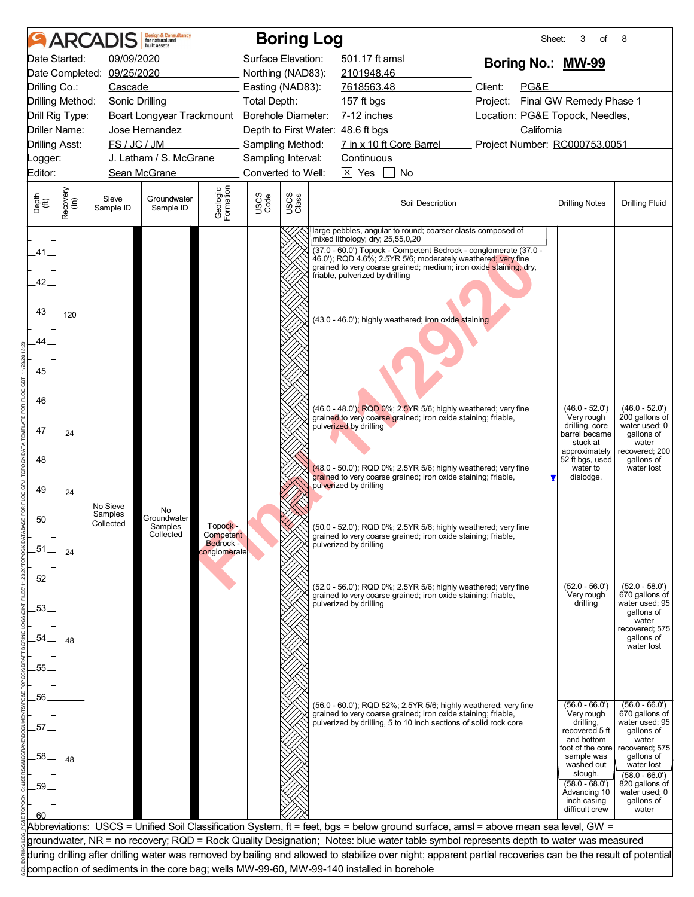|                                                                          |                       | <b>ARCADIS</b>                   | <b>Design &amp; Consultancy</b><br>for natural and<br>huilt assets                       |                                                    |                    | <b>Boring Log</b> |                                                                                                                                                                                                                                                                                                                                                                                                                                                                                                                                                                                                                                                                                                                                                                                                                                                                                             |                          |          | Sheet:     | 3<br>of                                                                                                                                                                                                     | 8                                                                                                                                                                                                       |
|--------------------------------------------------------------------------|-----------------------|----------------------------------|------------------------------------------------------------------------------------------|----------------------------------------------------|--------------------|-------------------|---------------------------------------------------------------------------------------------------------------------------------------------------------------------------------------------------------------------------------------------------------------------------------------------------------------------------------------------------------------------------------------------------------------------------------------------------------------------------------------------------------------------------------------------------------------------------------------------------------------------------------------------------------------------------------------------------------------------------------------------------------------------------------------------------------------------------------------------------------------------------------------------|--------------------------|----------|------------|-------------------------------------------------------------------------------------------------------------------------------------------------------------------------------------------------------------|---------------------------------------------------------------------------------------------------------------------------------------------------------------------------------------------------------|
|                                                                          | Date Started:         | 09/09/2020                       |                                                                                          |                                                    | Surface Elevation: |                   | 501.17 ft amsl                                                                                                                                                                                                                                                                                                                                                                                                                                                                                                                                                                                                                                                                                                                                                                                                                                                                              |                          |          |            | Boring No.: MW-99                                                                                                                                                                                           |                                                                                                                                                                                                         |
|                                                                          |                       | Date Completed: 09/25/2020       |                                                                                          |                                                    | Northing (NAD83):  |                   | 2101948.46                                                                                                                                                                                                                                                                                                                                                                                                                                                                                                                                                                                                                                                                                                                                                                                                                                                                                  |                          |          |            |                                                                                                                                                                                                             |                                                                                                                                                                                                         |
| Drilling Co.:                                                            |                       | Cascade                          |                                                                                          |                                                    | Easting (NAD83):   |                   | 7618563.48                                                                                                                                                                                                                                                                                                                                                                                                                                                                                                                                                                                                                                                                                                                                                                                                                                                                                  |                          | Client:  | PG&E       |                                                                                                                                                                                                             |                                                                                                                                                                                                         |
|                                                                          | Drilling Method:      | Sonic Drilling                   |                                                                                          |                                                    | Total Depth:       |                   | 157 ft bgs                                                                                                                                                                                                                                                                                                                                                                                                                                                                                                                                                                                                                                                                                                                                                                                                                                                                                  |                          | Project: |            | Final GW Remedy Phase 1                                                                                                                                                                                     |                                                                                                                                                                                                         |
| Driller Name:                                                            | Drill Rig Type:       |                                  | Boart Longyear Trackmount_ Borehole Diameter:<br>Jose Hernandez                          |                                                    |                    |                   | 7-12 inches<br>Depth to First Water: 48.6 ft bgs                                                                                                                                                                                                                                                                                                                                                                                                                                                                                                                                                                                                                                                                                                                                                                                                                                            |                          |          | California | Location: PG&E Topock, Needles,                                                                                                                                                                             |                                                                                                                                                                                                         |
| <b>Drilling Asst:</b>                                                    |                       | FS / JC / JM                     |                                                                                          |                                                    | Sampling Method:   |                   |                                                                                                                                                                                                                                                                                                                                                                                                                                                                                                                                                                                                                                                                                                                                                                                                                                                                                             | 7 in x 10 ft Core Barrel |          |            | Project Number: RC000753.0051                                                                                                                                                                               |                                                                                                                                                                                                         |
| _ogger:                                                                  |                       |                                  | J. Latham / S. McGrane                                                                   |                                                    | Sampling Interval: |                   | Continuous                                                                                                                                                                                                                                                                                                                                                                                                                                                                                                                                                                                                                                                                                                                                                                                                                                                                                  |                          |          |            |                                                                                                                                                                                                             |                                                                                                                                                                                                         |
| Editor:                                                                  |                       |                                  | Sean McGrane                                                                             |                                                    | Converted to Well: |                   | $\boxtimes$ Yes                                                                                                                                                                                                                                                                                                                                                                                                                                                                                                                                                                                                                                                                                                                                                                                                                                                                             | No                       |          |            |                                                                                                                                                                                                             |                                                                                                                                                                                                         |
|                                                                          |                       |                                  |                                                                                          |                                                    |                    |                   |                                                                                                                                                                                                                                                                                                                                                                                                                                                                                                                                                                                                                                                                                                                                                                                                                                                                                             |                          |          |            |                                                                                                                                                                                                             |                                                                                                                                                                                                         |
| Depth<br>$\widetilde{f(t)}$                                              | Recovery<br>(in)      | Sieve<br>Sample ID               | Groundwater<br>Sample ID                                                                 | Geologic<br>Formation                              | USCS<br>Code       | USCS<br>Class     |                                                                                                                                                                                                                                                                                                                                                                                                                                                                                                                                                                                                                                                                                                                                                                                                                                                                                             | Soil Description         |          |            | <b>Drilling Notes</b>                                                                                                                                                                                       | <b>Drilling Fluid</b>                                                                                                                                                                                   |
| .41.<br>42.<br>.43.<br>44<br>45<br>46.<br>.47.<br>48<br>.49<br>50<br>.51 | 120<br>24<br>24<br>24 | No Sieve<br>Samples<br>Collected | No<br>Groundwater<br>Samples<br>Collected                                                | Topock -<br>Competent<br>Bedrock -<br>conglomerate |                    |                   | large pebbles, angular to round; coarser clasts composed of<br>mixed lithology; dry; 25,55,0,20<br>(37.0 - 60.0') Topock - Competent Bedrock - conglomerate (37.0 -<br>46.0'); RQD 4.6%; 2.5YR 5/6; moderately weathered; very fine<br>grained to very coarse grained; medium; iron oxide staining; dry,<br>friable, pulverized by drilling<br>(43.0 - 46.0'); highly weathered; iron oxide staining<br>(46.0 - 48.0'); RQD 0%; 2.5YR 5/6; highly weathered; very fine<br>grained to very coarse grained; iron oxide staining; friable,<br>pulverized by drilling<br>(48.0 - 50.0'); RQD 0%; 2.5YR 5/6; highly weathered; very fine<br>grained to very coarse grained; iron oxide staining; friable,<br>pulverized by drilling<br>(50.0 - 52.0'); RQD 0%; 2.5YR 5/6; highly weathered; very fine<br>grained to very coarse grained; iron oxide staining; friable,<br>pulverized by drilling |                          |          |            | $(46.0 - 52.0')$<br>Very rough<br>drilling, core<br>barrel became<br>stuck at<br>approximately<br>52 ft bgs, used<br>water to<br>dislodge.                                                                  | $(46.0 - 52.0')$<br>200 gallons of<br>water used; 0<br>gallons of<br>water<br>recovered; 200<br>qallons of<br>water lost                                                                                |
| .52.<br>.53.<br>54.<br>55.                                               | 48                    |                                  |                                                                                          |                                                    |                    |                   | (52.0 - 56.0'); RQD 0%; 2.5YR 5/6; highly weathered; very fine<br>grained to very coarse grained; iron oxide staining; friable,<br>pulverized by drilling                                                                                                                                                                                                                                                                                                                                                                                                                                                                                                                                                                                                                                                                                                                                   |                          |          |            | $(52.0 - 56.0')$<br>Very rough<br>drilling                                                                                                                                                                  | $(52.0 - 58.0')$<br>670 gallons of<br>water used; 95<br>gallons of<br>water<br>recovered; 575<br>gallons of<br>water lost                                                                               |
| 56.<br>57<br>58<br>.59                                                   | 48                    |                                  |                                                                                          |                                                    |                    |                   | (56.0 - 60.0'); RQD 52%; 2.5YR 5/6; highly weathered; very fine<br>grained to very coarse grained; iron oxide staining; friable,<br>pulverized by drilling, 5 to 10 inch sections of solid rock core                                                                                                                                                                                                                                                                                                                                                                                                                                                                                                                                                                                                                                                                                        |                          |          |            | $(56.0 - 66.0')$<br>Very rough<br>drilling,<br>recovered 5 ft<br>and bottom<br>foot of the core<br>sample was<br>washed out<br>slough.<br>$(58.0 - 68.0')$<br>Advancing 10<br>inch casing<br>difficult crew | $(56.0 - 66.0')$<br>670 gallons of<br>water used; 95<br>gallons of<br>water<br>recovered; 575<br>gallons of<br>water lost<br>$(58.0 - 66.0')$<br>820 gallons of<br>water used; 0<br>gallons of<br>water |
|                                                                          |                       |                                  |                                                                                          |                                                    |                    |                   |                                                                                                                                                                                                                                                                                                                                                                                                                                                                                                                                                                                                                                                                                                                                                                                                                                                                                             |                          |          |            | Abbreviations: USCS = Unified Soil Classification System, ft = feet, bgs = below ground surface, amsl = above mean sea level, GW =                                                                          |                                                                                                                                                                                                         |
|                                                                          |                       |                                  |                                                                                          |                                                    |                    |                   |                                                                                                                                                                                                                                                                                                                                                                                                                                                                                                                                                                                                                                                                                                                                                                                                                                                                                             |                          |          |            | groundwater, NR = no recovery; RQD = Rock Quality Designation; Notes: blue water table symbol represents depth to water was measured                                                                        |                                                                                                                                                                                                         |
|                                                                          |                       |                                  |                                                                                          |                                                    |                    |                   |                                                                                                                                                                                                                                                                                                                                                                                                                                                                                                                                                                                                                                                                                                                                                                                                                                                                                             |                          |          |            |                                                                                                                                                                                                             | during drilling after drilling water was removed by bailing and allowed to stabilize over night; apparent partial recoveries can be the result of potential                                             |
|                                                                          |                       |                                  | compaction of sediments in the core bag; wells MW-99-60, MW-99-140 installed in borehole |                                                    |                    |                   |                                                                                                                                                                                                                                                                                                                                                                                                                                                                                                                                                                                                                                                                                                                                                                                                                                                                                             |                          |          |            |                                                                                                                                                                                                             |                                                                                                                                                                                                         |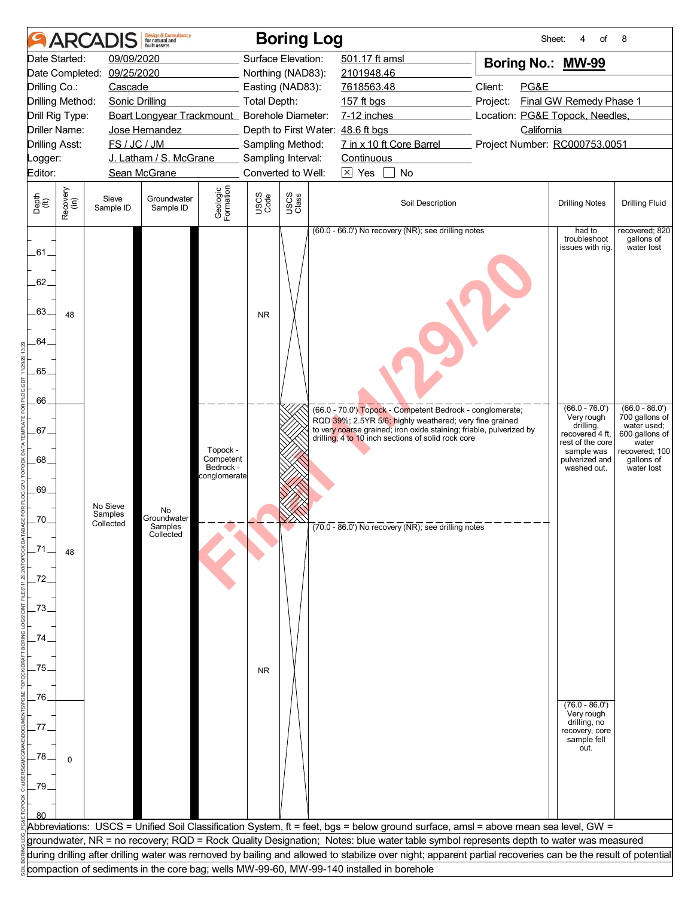|                                                                      |                                                                                                                                                                                                                                                                                                                                                                                                                                                                                                                                                                                                                                                                                                                                                                                                                                                                                                                | <b>ARCADIS</b>        | <b>Design &amp; Consultancy</b><br>for natural and<br>huilt assets |                       |                     | <b>Boring Log</b>  |                                                                                                                                                             | Sheet:                          | of<br>4                               | 8                     |  |  |  |
|----------------------------------------------------------------------|----------------------------------------------------------------------------------------------------------------------------------------------------------------------------------------------------------------------------------------------------------------------------------------------------------------------------------------------------------------------------------------------------------------------------------------------------------------------------------------------------------------------------------------------------------------------------------------------------------------------------------------------------------------------------------------------------------------------------------------------------------------------------------------------------------------------------------------------------------------------------------------------------------------|-----------------------|--------------------------------------------------------------------|-----------------------|---------------------|--------------------|-------------------------------------------------------------------------------------------------------------------------------------------------------------|---------------------------------|---------------------------------------|-----------------------|--|--|--|
|                                                                      | Date Started:                                                                                                                                                                                                                                                                                                                                                                                                                                                                                                                                                                                                                                                                                                                                                                                                                                                                                                  | 09/09/2020            |                                                                    |                       |                     | Surface Elevation: | 501.17 ft amsl                                                                                                                                              | Boring No.: MW-99               |                                       |                       |  |  |  |
| Date Completed:                                                      |                                                                                                                                                                                                                                                                                                                                                                                                                                                                                                                                                                                                                                                                                                                                                                                                                                                                                                                | 09/25/2020            |                                                                    |                       |                     | Northing (NAD83):  | 2101948.46                                                                                                                                                  |                                 |                                       |                       |  |  |  |
| Drilling Co.:                                                        |                                                                                                                                                                                                                                                                                                                                                                                                                                                                                                                                                                                                                                                                                                                                                                                                                                                                                                                | Cascade               |                                                                    |                       |                     | Easting (NAD83):   | 7618563.48                                                                                                                                                  | Client:<br>PG&E                 |                                       |                       |  |  |  |
| Drilling Method:                                                     |                                                                                                                                                                                                                                                                                                                                                                                                                                                                                                                                                                                                                                                                                                                                                                                                                                                                                                                | <b>Sonic Drilling</b> |                                                                    |                       | <b>Total Depth:</b> |                    | 157 ft bgs                                                                                                                                                  | Project:                        | Final GW Remedy Phase 1               |                       |  |  |  |
| Drill Rig Type:                                                      |                                                                                                                                                                                                                                                                                                                                                                                                                                                                                                                                                                                                                                                                                                                                                                                                                                                                                                                |                       | Boart Longyear Trackmount_ Borehole Diameter:                      |                       |                     |                    | 7-12 inches                                                                                                                                                 | Location: PG&E Topock, Needles, |                                       |                       |  |  |  |
| <b>Driller Name:</b>                                                 |                                                                                                                                                                                                                                                                                                                                                                                                                                                                                                                                                                                                                                                                                                                                                                                                                                                                                                                |                       | Jose Hernandez                                                     |                       |                     |                    | Depth to First Water: 48.6 ft bgs                                                                                                                           | California                      |                                       |                       |  |  |  |
| <b>Drilling Asst:</b>                                                |                                                                                                                                                                                                                                                                                                                                                                                                                                                                                                                                                                                                                                                                                                                                                                                                                                                                                                                | FS / JC / JM          |                                                                    |                       |                     | Sampling Method:   | 7 in x 10 ft Core Barrel                                                                                                                                    | Project Number: RC000753.0051   |                                       |                       |  |  |  |
| Logger:                                                              |                                                                                                                                                                                                                                                                                                                                                                                                                                                                                                                                                                                                                                                                                                                                                                                                                                                                                                                |                       | J. Latham / S. McGrane                                             |                       |                     | Sampling Interval: | Continuous                                                                                                                                                  |                                 |                                       |                       |  |  |  |
| Editor:                                                              |                                                                                                                                                                                                                                                                                                                                                                                                                                                                                                                                                                                                                                                                                                                                                                                                                                                                                                                |                       | Sean McGrane                                                       |                       |                     | Converted to Well: | $\boxtimes$ Yes<br>No                                                                                                                                       |                                 |                                       |                       |  |  |  |
| Depth<br>$\widetilde{f(t)}$                                          | Recovery<br>(in)                                                                                                                                                                                                                                                                                                                                                                                                                                                                                                                                                                                                                                                                                                                                                                                                                                                                                               | Sieve<br>Sample ID    | Groundwater<br>Sample ID                                           | Geologic<br>Formation | USCS<br>Code        | USCS<br>Class      | Soil Description                                                                                                                                            |                                 | <b>Drilling Notes</b>                 | <b>Drilling Fluid</b> |  |  |  |
| $-61$<br>62.<br>.63.<br>64<br>$-65.$<br>.66.<br>.67.<br>.68.<br>.69. | (60.0 - 66.0') No recovery (NR); see drilling notes<br>had to<br>recovered; 820<br>troubleshoot<br>qallons of<br>water lost<br>issues with rig.<br>48<br><b>NR</b><br>$(66.0 - 76.0')$<br>$(66.0 - 86.0')$<br>(66.0 - 70.0') Topock - Competent Bedrock - conglomerate;<br>700 gallons of<br>Very rough<br>RQD 39%; 2.5YR 5/6; highly weathered; very fine grained<br>drilling,<br>water used;<br>to very coarse grained; iron oxide staining; friable, pulverized by<br>600 gallons of<br>recovered 4 ft,<br>drilling, 4 to 10 inch sections of solid rock core<br>rest of the core<br>water<br>Topock -<br>recovered; 100<br>sample was<br>Competent<br>pulverized and<br>gallons of<br>Bedrock -<br>washed out.<br>water lost<br>conglomerate<br>No Sieve<br>No<br>Samples<br>Groundwater<br>-70.<br>Collected<br>$(70.0 - 86.0)$ No recovery (NR); see drilling notes<br>Samples<br>Collected<br>_71<br>48 |                       |                                                                    |                       |                     |                    |                                                                                                                                                             |                                 |                                       |                       |  |  |  |
| $-72.$<br>.73<br>74                                                  |                                                                                                                                                                                                                                                                                                                                                                                                                                                                                                                                                                                                                                                                                                                                                                                                                                                                                                                |                       |                                                                    |                       |                     |                    |                                                                                                                                                             |                                 |                                       |                       |  |  |  |
| .75<br>.76.                                                          |                                                                                                                                                                                                                                                                                                                                                                                                                                                                                                                                                                                                                                                                                                                                                                                                                                                                                                                |                       |                                                                    |                       | <b>NR</b>           |                    |                                                                                                                                                             |                                 | $(76.0 - 86.0')$                      |                       |  |  |  |
|                                                                      |                                                                                                                                                                                                                                                                                                                                                                                                                                                                                                                                                                                                                                                                                                                                                                                                                                                                                                                |                       |                                                                    |                       |                     |                    |                                                                                                                                                             |                                 | Very rough<br>drilling, no            |                       |  |  |  |
| 77<br>78<br>.79                                                      | $\Omega$                                                                                                                                                                                                                                                                                                                                                                                                                                                                                                                                                                                                                                                                                                                                                                                                                                                                                                       |                       |                                                                    |                       |                     |                    |                                                                                                                                                             |                                 | recovery, core<br>sample fell<br>out. |                       |  |  |  |
|                                                                      |                                                                                                                                                                                                                                                                                                                                                                                                                                                                                                                                                                                                                                                                                                                                                                                                                                                                                                                |                       |                                                                    |                       |                     |                    | Abbreviations: USCS = Unified Soil Classification System, ft = feet, bgs = below ground surface, amsl = above mean sea level, GW =                          |                                 |                                       |                       |  |  |  |
|                                                                      |                                                                                                                                                                                                                                                                                                                                                                                                                                                                                                                                                                                                                                                                                                                                                                                                                                                                                                                |                       |                                                                    |                       |                     |                    | groundwater, NR = no recovery; RQD = Rock Quality Designation; Notes: blue water table symbol represents depth to water was measured                        |                                 |                                       |                       |  |  |  |
|                                                                      |                                                                                                                                                                                                                                                                                                                                                                                                                                                                                                                                                                                                                                                                                                                                                                                                                                                                                                                |                       |                                                                    |                       |                     |                    | during drilling after drilling water was removed by bailing and allowed to stabilize over night; apparent partial recoveries can be the result of potential |                                 |                                       |                       |  |  |  |
|                                                                      |                                                                                                                                                                                                                                                                                                                                                                                                                                                                                                                                                                                                                                                                                                                                                                                                                                                                                                                |                       |                                                                    |                       |                     |                    | compaction of sediments in the core bag; wells MW-99-60, MW-99-140 installed in borehole                                                                    |                                 |                                       |                       |  |  |  |
|                                                                      |                                                                                                                                                                                                                                                                                                                                                                                                                                                                                                                                                                                                                                                                                                                                                                                                                                                                                                                |                       |                                                                    |                       |                     |                    |                                                                                                                                                             |                                 |                                       |                       |  |  |  |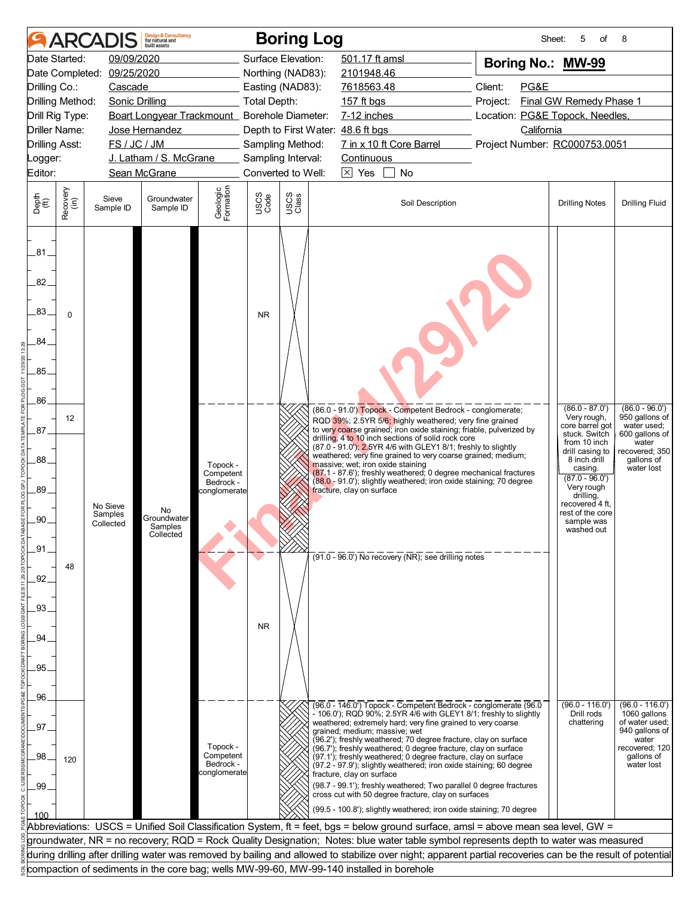|                                 |                         | <b>ARCADIS</b>             | <b>Design &amp; Consultancy</b><br>for natural and<br>huilt assets |                        |                    | <b>Boring Log</b> |                                                                                                                                                                       | Sheet:                          | of<br>5                             | 8                                         |
|---------------------------------|-------------------------|----------------------------|--------------------------------------------------------------------|------------------------|--------------------|-------------------|-----------------------------------------------------------------------------------------------------------------------------------------------------------------------|---------------------------------|-------------------------------------|-------------------------------------------|
|                                 | Date Started:           | 09/09/2020                 |                                                                    |                        | Surface Elevation: |                   | 501.17 ft amsl                                                                                                                                                        | Boring No.: MW-99               |                                     |                                           |
|                                 |                         | Date Completed: 09/25/2020 |                                                                    |                        | Northing (NAD83):  |                   | 2101948.46                                                                                                                                                            |                                 |                                     |                                           |
| Drilling Co.:                   |                         | Cascade                    |                                                                    |                        | Easting (NAD83):   |                   | 7618563.48                                                                                                                                                            | Client:<br>PG&E                 |                                     |                                           |
|                                 | <b>Drilling Method:</b> | <b>Sonic Drilling</b>      |                                                                    |                        | Total Depth:       |                   | 157 ft bgs                                                                                                                                                            | Project:                        | Final GW Remedy Phase 1             |                                           |
|                                 | Drill Rig Type:         |                            | Boart Longyear Trackmount_ Borehole Diameter:                      |                        |                    |                   | 7-12 inches                                                                                                                                                           | Location: PG&E Topock, Needles, |                                     |                                           |
|                                 | <b>Driller Name:</b>    |                            | Jose Hernandez                                                     |                        |                    |                   | Depth to First Water: 48.6 ft bgs                                                                                                                                     | California                      |                                     |                                           |
| <b>Drilling Asst:</b>           |                         | FS / JC / JM               |                                                                    |                        | Sampling Method:   |                   | 7 in x 10 ft Core Barrel                                                                                                                                              | Project Number: RC000753.0051   |                                     |                                           |
| Logger:                         |                         |                            | J. Latham / S. McGrane                                             |                        | Sampling Interval: |                   | Continuous                                                                                                                                                            |                                 |                                     |                                           |
| Editor:                         |                         |                            | Sean McGrane                                                       |                        | Converted to Well: |                   | $\boxtimes$ Yes<br><b>No</b>                                                                                                                                          |                                 |                                     |                                           |
| Depth<br>$\widetilde{f(t)}$     | Recovery<br>(in)        | Sieve<br>Sample ID         | Groundwater<br>Sample ID                                           | Geologic<br>Formation  | USCS<br>Code       | USCS<br>Class     | Soil Description                                                                                                                                                      |                                 | <b>Drilling Notes</b>               | <b>Drilling Fluid</b>                     |
| .81<br>82.<br>83.<br>84<br>.85. | $\Omega$                |                            |                                                                    |                        | <b>NR</b>          |                   |                                                                                                                                                                       |                                 |                                     |                                           |
| .86.                            | 12                      |                            |                                                                    |                        |                    |                   | (86.0 - 91.0') Topock - Competent Bedrock - conglomerate;<br>RQD 39%; 2.5YR 5/6; highly weathered; very fine grained                                                  |                                 | $(86.0 - 87.0')$<br>Very rough,     | $(86.0 - 96.0')$<br>950 gallons of        |
| .87.                            |                         |                            |                                                                    |                        |                    |                   | to very coarse grained; iron oxide staining; friable, pulverized by<br>drilling, 4 to 10 inch sections of solid rock core                                             |                                 | core barrel got<br>stuck. Switch    | water used;<br>600 gallons of             |
|                                 |                         |                            |                                                                    |                        |                    |                   | (87.0 - 91.0'); 2.5YR 4/6 with GLEY1 8/1; freshly to slightly                                                                                                         |                                 | from 10 inch<br>drill casing to     | water<br>recovered; 350                   |
| .88.                            |                         |                            |                                                                    | Topock -               |                    |                   | weathered; very fine grained to very coarse grained; medium;<br>massive; wet; iron oxide staining<br>(87.1 - 87.6'); freshly weathered; 0 degree mechanical fractures |                                 | 8 inch drill<br>casing.             | qallons of<br>water lost                  |
|                                 |                         |                            |                                                                    | Competent<br>Bedrock - |                    |                   | (88.0 - 91.0'); slightly weathered; iron oxide staining; 70 degree                                                                                                    |                                 | $(87.0 - 96.0')$<br>Very rough      |                                           |
| 89.                             |                         |                            |                                                                    | conglomerate           |                    |                   | fracture, clay on surface                                                                                                                                             |                                 | drilling,                           |                                           |
|                                 |                         | No Sieve<br>Samples        | No                                                                 |                        |                    |                   |                                                                                                                                                                       |                                 | recovered 4 ft.<br>rest of the core |                                           |
| .90.                            |                         | Collected                  | Groundwater<br>Samples                                             |                        |                    |                   |                                                                                                                                                                       |                                 | sample was<br>washed out            |                                           |
|                                 |                         |                            | Collected                                                          |                        |                    |                   |                                                                                                                                                                       |                                 |                                     |                                           |
| .91                             |                         |                            |                                                                    |                        |                    |                   | $(91.0 - 96.0)$ No recovery (NR); see drilling notes                                                                                                                  |                                 |                                     |                                           |
|                                 | 48                      |                            |                                                                    |                        |                    |                   |                                                                                                                                                                       |                                 |                                     |                                           |
| .92                             |                         |                            |                                                                    |                        |                    |                   |                                                                                                                                                                       |                                 |                                     |                                           |
|                                 |                         |                            |                                                                    |                        |                    |                   |                                                                                                                                                                       |                                 |                                     |                                           |
| .93.                            |                         |                            |                                                                    |                        |                    |                   |                                                                                                                                                                       |                                 |                                     |                                           |
| 94                              |                         |                            |                                                                    |                        | N <sub>R</sub>     |                   |                                                                                                                                                                       |                                 |                                     |                                           |
|                                 |                         |                            |                                                                    |                        |                    |                   |                                                                                                                                                                       |                                 |                                     |                                           |
| 95.                             |                         |                            |                                                                    |                        |                    |                   |                                                                                                                                                                       |                                 |                                     |                                           |
|                                 |                         |                            |                                                                    |                        |                    |                   |                                                                                                                                                                       |                                 |                                     |                                           |
| .96                             |                         |                            |                                                                    |                        |                    |                   |                                                                                                                                                                       |                                 |                                     |                                           |
|                                 |                         |                            |                                                                    |                        |                    |                   | (96.0 - 146.0') Topock - Competent Bedrock - conglomerate (96.0<br>- 106.0'); RQD 90%; 2.5YR 4/6 with GLEY1 8/1; freshly to slightly                                  |                                 | $(96.0 - 116.0')$<br>Drill rods     | $(96.0 - 116.0')$<br>1060 gallons         |
| 97                              |                         |                            |                                                                    |                        |                    |                   | weathered; extremely hard; very fine grained to very coarse                                                                                                           |                                 | chattering                          | of water used;                            |
|                                 |                         |                            |                                                                    | Topock -               |                    |                   | grained; medium; massive; wet<br>(96.2'); freshly weathered; 70 degree fracture, clay on surface<br>(96.7'); freshly weathered; 0 degree fracture, clay on surface    |                                 |                                     | 940 gallons of<br>water<br>recovered; 120 |
| .98                             | 120                     |                            |                                                                    | Competent<br>Bedrock - |                    |                   | (97.1'); freshly weathered; 0 degree fracture, clay on surface<br>(97.2 - 97.9'); slightly weathered; iron oxide staining; 60 degree                                  |                                 |                                     | gallons of<br>water lost                  |
|                                 |                         |                            |                                                                    | conglomerate           |                    |                   | fracture, clay on surface                                                                                                                                             |                                 |                                     |                                           |
| .99                             |                         |                            |                                                                    |                        |                    |                   | (98.7 - 99.1'); freshly weathered; Two parallel 0 degree fractures<br>cross cut with 50 degree fracture, clay on surfaces                                             |                                 |                                     |                                           |
|                                 |                         |                            |                                                                    |                        |                    |                   | (99.5 - 100.8'); slightly weathered; iron oxide staining; 70 degree                                                                                                   |                                 |                                     |                                           |
| 100                             |                         |                            |                                                                    |                        |                    |                   | Abbreviations: USCS = Unified Soil Classification System, ft = feet, bgs = below ground surface, amsl = above mean sea level, GW =                                    |                                 |                                     |                                           |
|                                 |                         |                            |                                                                    |                        |                    |                   | groundwater, NR = no recovery; RQD = Rock Quality Designation; Notes: blue water table symbol represents depth to water was measured                                  |                                 |                                     |                                           |
|                                 |                         |                            |                                                                    |                        |                    |                   | during drilling after drilling water was removed by bailing and allowed to stabilize over night; apparent partial recoveries can be the result of potential           |                                 |                                     |                                           |
|                                 |                         |                            |                                                                    |                        |                    |                   | compaction of sediments in the core bag; wells MW-99-60, MW-99-140 installed in borehole                                                                              |                                 |                                     |                                           |
|                                 |                         |                            |                                                                    |                        |                    |                   |                                                                                                                                                                       |                                 |                                     |                                           |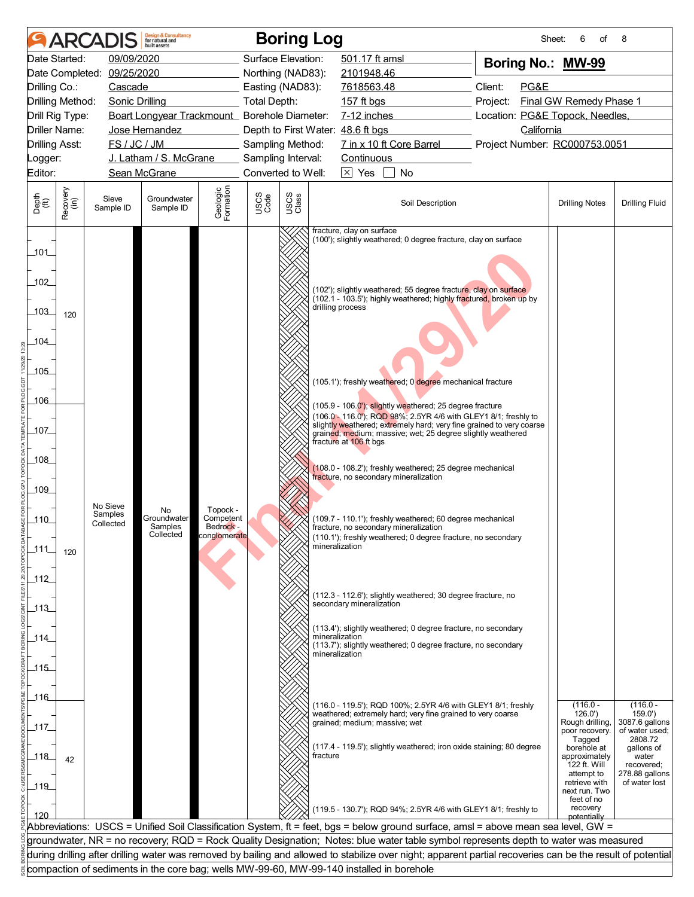|                       |                  |                                  | <b>Design &amp; Consultancy</b><br>for natural and<br>huilt assets |                                                    |                                        |               | <b>Boring Log</b>                                                                                                                                                                                                                    | Sheet:                          | 6<br>οf                                                                     | 8                                                                  |
|-----------------------|------------------|----------------------------------|--------------------------------------------------------------------|----------------------------------------------------|----------------------------------------|---------------|--------------------------------------------------------------------------------------------------------------------------------------------------------------------------------------------------------------------------------------|---------------------------------|-----------------------------------------------------------------------------|--------------------------------------------------------------------|
|                       | Date Started:    | 09/09/2020                       |                                                                    |                                                    | Surface Elevation:                     |               | 501.17 ft amsl                                                                                                                                                                                                                       | Boring No.: MW-99               |                                                                             |                                                                    |
|                       | Date Completed:  | 09/25/2020                       |                                                                    |                                                    | Northing (NAD83):                      |               | 2101948.46                                                                                                                                                                                                                           |                                 |                                                                             |                                                                    |
| Drilling Co.:         |                  | Cascade                          |                                                                    |                                                    | Easting (NAD83):                       |               | 7618563.48                                                                                                                                                                                                                           | Client:<br>PG&E                 |                                                                             |                                                                    |
|                       | Drilling Method: | <b>Sonic Drilling</b>            |                                                                    |                                                    | <b>Total Depth:</b>                    |               | 157 ft bgs                                                                                                                                                                                                                           | Project:                        | Final GW Remedy Phase 1                                                     |                                                                    |
|                       | Drill Rig Type:  |                                  | Boart Longyear Trackmount_ Borehole Diameter:                      |                                                    |                                        |               | $7-12$ inches                                                                                                                                                                                                                        | Location: PG&E Topock, Needles, |                                                                             |                                                                    |
|                       | Driller Name:    |                                  | Jose Hernandez                                                     |                                                    |                                        |               | Depth to First Water: 48.6 ft bgs                                                                                                                                                                                                    | California                      |                                                                             |                                                                    |
| <b>Drilling Asst:</b> |                  | FS / JC / JM                     | J. Latham / S. McGrane                                             |                                                    | Sampling Method:<br>Sampling Interval: |               | 7 in x 10 ft Core Barrel<br>Continuous                                                                                                                                                                                               | Project Number: RC000753.0051   |                                                                             |                                                                    |
| Logger:<br>Editor:    |                  |                                  | Sean McGrane                                                       |                                                    | Converted to Well:                     |               | $\boxtimes$ Yes<br>No                                                                                                                                                                                                                |                                 |                                                                             |                                                                    |
|                       |                  |                                  |                                                                    |                                                    |                                        |               |                                                                                                                                                                                                                                      |                                 |                                                                             |                                                                    |
| Depth<br>(ft)         | Recovery<br>(in) | Sieve<br>Sample ID               | Groundwater<br>Sample ID                                           | Geologic<br>Formation                              | USCS<br>Code                           | USCS<br>Class | Soil Description                                                                                                                                                                                                                     |                                 | <b>Drilling Notes</b>                                                       | <b>Drilling Fluid</b>                                              |
| $-101$<br>102         |                  |                                  |                                                                    |                                                    |                                        |               | fracture, clay on surface<br>(100'); slightly weathered; 0 degree fracture, clay on surface<br>(102'); slightly weathered; 55 degree fracture, clay on surface<br>(102.1 - 103.5'); highly weathered; highly fractured, broken up by |                                 |                                                                             |                                                                    |
| 103<br>104            | 120              |                                  |                                                                    |                                                    |                                        |               | drilling process                                                                                                                                                                                                                     |                                 |                                                                             |                                                                    |
| $-105$                |                  |                                  |                                                                    |                                                    |                                        |               | (105.1'); freshly weathered; 0 degree mechanical fracture                                                                                                                                                                            |                                 |                                                                             |                                                                    |
| 106<br>107            |                  |                                  |                                                                    |                                                    |                                        |               | (105.9 - 106.0'); slightly weathered; 25 degree fracture<br>(106.0 - 116.0'); RQD 98%; 2.5YR 4/6 with GLEY1 8/1; freshly to<br>slightly weathered; extremely hard; very fine grained to very coarse                                  |                                 |                                                                             |                                                                    |
| _108_                 |                  |                                  |                                                                    |                                                    |                                        |               | grained; medium; massive; wet; 25 degree slightly weathered<br>fracture at 106 ft bgs                                                                                                                                                |                                 |                                                                             |                                                                    |
| $-109$                |                  |                                  |                                                                    |                                                    |                                        |               | (108.0 - 108.2'); freshly weathered; 25 degree mechanical<br>fracture, no secondary mineralization                                                                                                                                   |                                 |                                                                             |                                                                    |
| $-110$                |                  | No Sieve<br>Samples<br>Collected | No<br>Groundwater<br>Samples<br>Collected                          | Topock -<br>Competent<br>Bedrock -<br>conglomerate |                                        |               | (109.7 - 110.1'); freshly weathered; 60 degree mechanical<br>fracture, no secondary mineralization<br>(110.1'); freshly weathered; 0 degree fracture, no secondary                                                                   |                                 |                                                                             |                                                                    |
| 111<br>$-112$         | 120              |                                  |                                                                    |                                                    |                                        |               | mineralization                                                                                                                                                                                                                       |                                 |                                                                             |                                                                    |
| $-113$                |                  |                                  |                                                                    |                                                    |                                        |               | (112.3 - 112.6'); slightly weathered; 30 degree fracture, no<br>secondary mineralization                                                                                                                                             |                                 |                                                                             |                                                                    |
|                       |                  |                                  |                                                                    |                                                    |                                        |               | (113.4'); slightly weathered; 0 degree fracture, no secondary                                                                                                                                                                        |                                 |                                                                             |                                                                    |
| _114_                 |                  |                                  |                                                                    |                                                    |                                        |               | mineralization<br>(113.7'); slightly weathered; 0 degree fracture, no secondary                                                                                                                                                      |                                 |                                                                             |                                                                    |
| $-115$                |                  |                                  |                                                                    |                                                    |                                        |               | mineralization                                                                                                                                                                                                                       |                                 |                                                                             |                                                                    |
| $116$                 |                  |                                  |                                                                    |                                                    |                                        |               |                                                                                                                                                                                                                                      |                                 |                                                                             |                                                                    |
|                       |                  |                                  |                                                                    |                                                    |                                        |               | (116.0 - 119.5'); RQD 100%; 2.5YR 4/6 with GLEY1 8/1; freshly<br>weathered; extremely hard; very fine grained to very coarse                                                                                                         |                                 | $(116.0 -$<br>126.0'                                                        | $(116.0 -$<br>159.0'                                               |
| _117_<br>118          | 42               |                                  |                                                                    |                                                    |                                        |               | grained; medium; massive; wet<br>(117.4 - 119.5'); slightly weathered; iron oxide staining; 80 degree<br>fracture                                                                                                                    |                                 | Rough drilling,<br>poor recovery.<br>Tagged<br>borehole at<br>approximately | 3087.6 gallons<br>of water used;<br>2808.72<br>gallons of<br>water |
| $-119$                |                  |                                  |                                                                    |                                                    |                                        |               |                                                                                                                                                                                                                                      |                                 | 122 ft. Will<br>attempt to<br>retrieve with<br>next run. Two<br>feet of no  | recovered;<br>278.88 gallons<br>of water lost                      |
| 120                   |                  |                                  |                                                                    |                                                    |                                        |               | (119.5 - 130.7'); RQD 94%; 2.5YR 4/6 with GLEY1 8/1; freshly to                                                                                                                                                                      |                                 | recovery<br>potentially                                                     |                                                                    |
|                       |                  |                                  |                                                                    |                                                    |                                        |               | Abbreviations: USCS = Unified Soil Classification System, ft = feet, bgs = below ground surface, amsl = above mean sea level, GW =                                                                                                   |                                 |                                                                             |                                                                    |
|                       |                  |                                  |                                                                    |                                                    |                                        |               | groundwater, NR = no recovery; RQD = Rock Quality Designation; Notes: blue water table symbol represents depth to water was measured                                                                                                 |                                 |                                                                             |                                                                    |
|                       |                  |                                  |                                                                    |                                                    |                                        |               | during drilling after drilling water was removed by bailing and allowed to stabilize over night; apparent partial recoveries can be the result of potential                                                                          |                                 |                                                                             |                                                                    |
|                       |                  |                                  |                                                                    |                                                    |                                        |               | compaction of sediments in the core bag; wells MW-99-60, MW-99-140 installed in borehole                                                                                                                                             |                                 |                                                                             |                                                                    |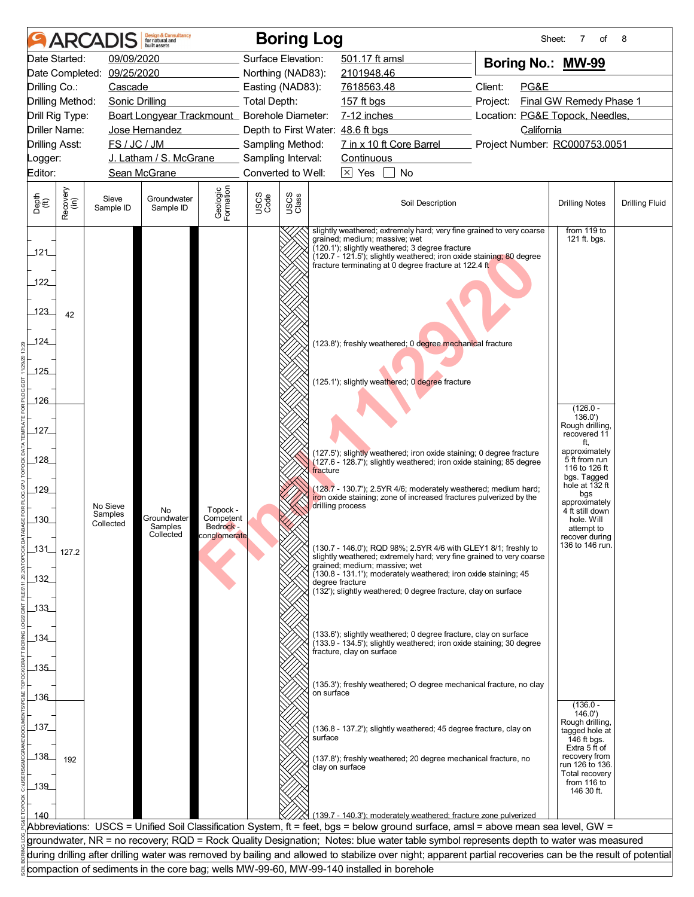|                           |                  |                            | <b>Design &amp; Consultancy</b><br>for natural and<br>built assets                       |                        |                                        |               | <b>Boring Log</b> |                                   |                                                                                                                                                                                                                                                                                                                       |          | Sheet:     | 7<br>οf                           | 8                     |
|---------------------------|------------------|----------------------------|------------------------------------------------------------------------------------------|------------------------|----------------------------------------|---------------|-------------------|-----------------------------------|-----------------------------------------------------------------------------------------------------------------------------------------------------------------------------------------------------------------------------------------------------------------------------------------------------------------------|----------|------------|-----------------------------------|-----------------------|
|                           | Date Started:    | 09/09/2020                 |                                                                                          |                        | Surface Elevation:                     |               |                   | 501.17 ft amsl                    |                                                                                                                                                                                                                                                                                                                       |          |            | Boring No.: MW-99                 |                       |
|                           |                  | Date Completed: 09/25/2020 |                                                                                          |                        | Northing (NAD83):                      |               |                   | 2101948.46                        |                                                                                                                                                                                                                                                                                                                       |          |            |                                   |                       |
| Drilling Co.:             |                  | Cascade                    |                                                                                          |                        | Easting (NAD83):                       |               |                   | 7618563.48                        |                                                                                                                                                                                                                                                                                                                       | Client:  | PG&E       |                                   |                       |
|                           | Drilling Method: | <b>Sonic Drilling</b>      |                                                                                          |                        | <b>Total Depth:</b>                    |               |                   | 157 ft bgs                        |                                                                                                                                                                                                                                                                                                                       | Project: |            | Final GW Remedy Phase 1           |                       |
|                           | Drill Rig Type:  |                            | Boart Longyear Trackmount_ Borehole Diameter:                                            |                        |                                        |               |                   | 7-12 inches                       |                                                                                                                                                                                                                                                                                                                       |          |            | Location: PG&E Topock, Needles,   |                       |
|                           | Driller Name:    |                            | Jose Hernandez                                                                           |                        |                                        |               |                   | Depth to First Water: 48.6 ft bgs |                                                                                                                                                                                                                                                                                                                       |          | California |                                   |                       |
| <b>Drilling Asst:</b>     |                  | FS / JC / JM               | J. Latham / S. McGrane                                                                   |                        | Sampling Method:<br>Sampling Interval: |               |                   | Continuous                        | 7 in x 10 ft Core Barrel                                                                                                                                                                                                                                                                                              |          |            | Project Number: RC000753.0051     |                       |
| Logger:<br>Editor:        |                  |                            | Sean McGrane                                                                             |                        | Converted to Well:                     |               |                   | $\boxed{\times}$ Yes              | No                                                                                                                                                                                                                                                                                                                    |          |            |                                   |                       |
|                           |                  |                            |                                                                                          |                        |                                        |               |                   |                                   |                                                                                                                                                                                                                                                                                                                       |          |            |                                   |                       |
| Depth<br>(ft)             | Recovery<br>(in) | Sieve<br>Sample ID         | Groundwater<br>Sample ID                                                                 | Geologic<br>Formation  | USCS<br>Code                           | USCS<br>Class |                   |                                   | Soil Description                                                                                                                                                                                                                                                                                                      |          |            | <b>Drilling Notes</b>             | <b>Drilling Fluid</b> |
| 121<br>122<br>.123<br>124 | 42               |                            |                                                                                          |                        |                                        |               |                   | grained; medium; massive; wet     | slightly weathered; extremely hard; very fine grained to very coarse<br>(120.1'); slightly weathered; 3 degree fracture<br>(120.7 - 121.5'); slightly weathered; iron oxide staining; 80 degree<br>fracture terminating at 0 degree fracture at 122.4 ft<br>(123.8'); freshly weathered; 0 degree mechanical fracture |          |            | from 119 to<br>121 ft. bgs.       |                       |
| $-125$                    |                  |                            |                                                                                          |                        |                                        |               |                   |                                   |                                                                                                                                                                                                                                                                                                                       |          |            |                                   |                       |
|                           |                  |                            |                                                                                          |                        |                                        |               |                   |                                   | (125.1'); slightly weathered; 0 degree fracture                                                                                                                                                                                                                                                                       |          |            |                                   |                       |
| 126                       |                  |                            |                                                                                          |                        |                                        |               |                   |                                   |                                                                                                                                                                                                                                                                                                                       |          |            | $(126.0 -$                        |                       |
|                           |                  |                            |                                                                                          |                        |                                        |               |                   |                                   |                                                                                                                                                                                                                                                                                                                       |          |            | 136.0'                            |                       |
| 127                       |                  |                            |                                                                                          |                        |                                        |               |                   |                                   |                                                                                                                                                                                                                                                                                                                       |          |            | Rough drilling,<br>recovered 11   |                       |
|                           |                  |                            |                                                                                          |                        |                                        |               |                   |                                   | (127.5'); slightly weathered; iron oxide staining; 0 degree fracture                                                                                                                                                                                                                                                  |          |            | ft,<br>approximately              |                       |
| $-128$                    |                  |                            |                                                                                          |                        |                                        |               |                   |                                   | (127.6 - 128.7'); slightly weathered; iron oxide staining; 85 degree                                                                                                                                                                                                                                                  |          |            | 5 ft from run<br>116 to 126 ft    |                       |
|                           |                  |                            |                                                                                          |                        |                                        |               | fracture          |                                   |                                                                                                                                                                                                                                                                                                                       |          |            | bgs. Tagged<br>hole at 132 ft     |                       |
| 129                       |                  |                            |                                                                                          |                        |                                        |               |                   |                                   | $(128.7 - 130.7)$ ; 2.5YR 4/6; moderately weathered; medium hard;<br>iron oxide staining; zone of increased fractures pulverized by the                                                                                                                                                                               |          |            | bgs                               |                       |
|                           |                  | No Sieve<br>Samples        | No                                                                                       | Topock -               |                                        |               |                   | drilling process                  |                                                                                                                                                                                                                                                                                                                       |          |            | approximately<br>4 ft still down  |                       |
| $\_130$                   |                  | Collected                  | Groundwater<br>Samples                                                                   | Competent<br>Bedrock - |                                        |               |                   |                                   |                                                                                                                                                                                                                                                                                                                       |          |            | hole. Will<br>attempt to          |                       |
|                           |                  |                            | Collected                                                                                | conglomerate           |                                        |               |                   |                                   |                                                                                                                                                                                                                                                                                                                       |          |            | recover during<br>136 to 146 run. |                       |
| $\_131$                   | 127.2            |                            |                                                                                          |                        |                                        |               |                   |                                   | (130.7 - 146.0'); RQD 98%; 2.5YR 4/6 with GLEY1 8/1; freshly to<br>slightly weathered; extremely hard; very fine grained to very coarse                                                                                                                                                                               |          |            |                                   |                       |
|                           |                  |                            |                                                                                          |                        |                                        |               |                   | grained; medium; massive; wet     | (130.8 - 131.1'); moderately weathered; iron oxide staining; 45                                                                                                                                                                                                                                                       |          |            |                                   |                       |
| 132                       |                  |                            |                                                                                          |                        |                                        |               |                   | degree fracture                   | (132); slightly weathered; 0 degree fracture, clay on surface                                                                                                                                                                                                                                                         |          |            |                                   |                       |
| $-133$                    |                  |                            |                                                                                          |                        |                                        |               |                   |                                   |                                                                                                                                                                                                                                                                                                                       |          |            |                                   |                       |
|                           |                  |                            |                                                                                          |                        |                                        |               |                   |                                   |                                                                                                                                                                                                                                                                                                                       |          |            |                                   |                       |
| _134_                     |                  |                            |                                                                                          |                        |                                        |               |                   |                                   | (133.6'); slightly weathered; 0 degree fracture, clay on surface                                                                                                                                                                                                                                                      |          |            |                                   |                       |
|                           |                  |                            |                                                                                          |                        |                                        |               |                   | fracture, clay on surface         | (133.9 - 134.5'); slightly weathered; iron oxide staining; 30 degree                                                                                                                                                                                                                                                  |          |            |                                   |                       |
| 135                       |                  |                            |                                                                                          |                        |                                        |               |                   |                                   |                                                                                                                                                                                                                                                                                                                       |          |            |                                   |                       |
|                           |                  |                            |                                                                                          |                        |                                        |               |                   |                                   | (135.3'); freshly weathered; O degree mechanical fracture, no clay                                                                                                                                                                                                                                                    |          |            |                                   |                       |
| _136_                     |                  |                            |                                                                                          |                        |                                        |               | on surface        |                                   |                                                                                                                                                                                                                                                                                                                       |          |            |                                   |                       |
|                           |                  |                            |                                                                                          |                        |                                        |               |                   |                                   |                                                                                                                                                                                                                                                                                                                       |          |            | $(136.0 -$<br>146.0'              |                       |
| 137                       |                  |                            |                                                                                          |                        |                                        |               |                   |                                   | (136.8 - 137.2'); slightly weathered; 45 degree fracture, clay on                                                                                                                                                                                                                                                     |          |            | Rough drilling,<br>tagged hole at |                       |
|                           |                  |                            |                                                                                          |                        |                                        |               | surface           |                                   |                                                                                                                                                                                                                                                                                                                       |          |            | 146 ft bgs.<br>Extra 5 ft of      |                       |
| $\frac{138}{1}$           | 192              |                            |                                                                                          |                        |                                        |               |                   |                                   | (137.8'); freshly weathered; 20 degree mechanical fracture, no                                                                                                                                                                                                                                                        |          |            | recovery from                     |                       |
|                           |                  |                            |                                                                                          |                        |                                        |               |                   | clay on surface                   |                                                                                                                                                                                                                                                                                                                       |          |            | run 126 to 136.<br>Total recovery |                       |
| _139_                     |                  |                            |                                                                                          |                        |                                        |               |                   |                                   |                                                                                                                                                                                                                                                                                                                       |          |            | from 116 to<br>146 30 ft.         |                       |
|                           |                  |                            |                                                                                          |                        |                                        |               |                   |                                   |                                                                                                                                                                                                                                                                                                                       |          |            |                                   |                       |
| 140                       |                  |                            |                                                                                          |                        |                                        |               |                   |                                   | (139.7 - 140.3'); moderately weathered; fracture zone pulverized                                                                                                                                                                                                                                                      |          |            |                                   |                       |
|                           |                  |                            |                                                                                          |                        |                                        |               |                   |                                   | Abbreviations: USCS = Unified Soil Classification System, ft = feet, bgs = below ground surface, amsl = above mean sea level, GW =                                                                                                                                                                                    |          |            |                                   |                       |
|                           |                  |                            |                                                                                          |                        |                                        |               |                   |                                   | groundwater, NR = no recovery; RQD = Rock Quality Designation; Notes: blue water table symbol represents depth to water was measured<br>during drilling after drilling water was removed by bailing and allowed to stabilize over night; apparent partial recoveries can be the result of potential                   |          |            |                                   |                       |
|                           |                  |                            | compaction of sediments in the core bag; wells MW-99-60, MW-99-140 installed in borehole |                        |                                        |               |                   |                                   |                                                                                                                                                                                                                                                                                                                       |          |            |                                   |                       |
|                           |                  |                            |                                                                                          |                        |                                        |               |                   |                                   |                                                                                                                                                                                                                                                                                                                       |          |            |                                   |                       |